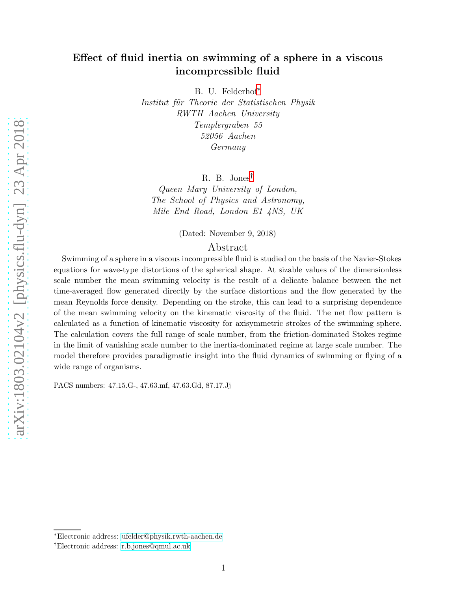# Effect of fluid inertia on swimming of a sphere in a viscous incompressible fluid

B. U. Felderhof[∗](#page-0-0)

Institut für Theorie der Statistischen Physik RWTH Aachen University Templergraben 55 52056 Aachen Germany

R. B. Jones[†](#page-0-1)

Queen Mary University of London, The School of Physics and Astronomy, Mile End Road, London E1 4NS, UK

(Dated: November 9, 2018)

### Abstract

Swimming of a sphere in a viscous incompressible fluid is studied on the basis of the Navier-Stokes equations for wave-type distortions of the spherical shape. At sizable values of the dimensionless scale number the mean swimming velocity is the result of a delicate balance between the net time-averaged flow generated directly by the surface distortions and the flow generated by the mean Reynolds force density. Depending on the stroke, this can lead to a surprising dependence of the mean swimming velocity on the kinematic viscosity of the fluid. The net flow pattern is calculated as a function of kinematic viscosity for axisymmetric strokes of the swimming sphere. The calculation covers the full range of scale number, from the friction-dominated Stokes regime in the limit of vanishing scale number to the inertia-dominated regime at large scale number. The model therefore provides paradigmatic insight into the fluid dynamics of swimming or flying of a wide range of organisms.

PACS numbers: 47.15.G-, 47.63.mf, 47.63.Gd, 87.17.Jj

<span id="page-0-0"></span><sup>∗</sup>Electronic address: [ufelder@physik.rwth-aachen.de](mailto:ufelder@physik.rwth-aachen.de)

<span id="page-0-1"></span><sup>†</sup>Electronic address: [r.b.jones@qmul.ac.uk](mailto:r.b.jones@qmul.ac.uk)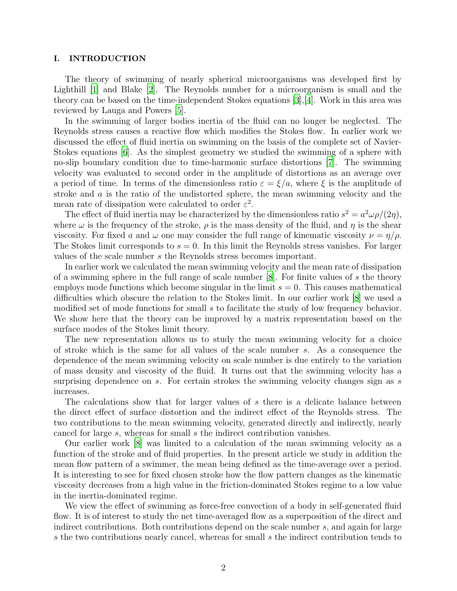#### I. INTRODUCTION

The theory of swimming of nearly spherical microorganisms was developed first by Lighthill [\[1\]](#page-25-0) and Blake [\[2](#page-25-1)]. The Reynolds number for a microorganism is small and the theory can be based on the time-independent Stokes equations [\[3](#page-25-2)],[\[4\]](#page-25-3). Work in this area was reviewed by Lauga and Powers [\[5](#page-25-4)].

In the swimming of larger bodies inertia of the fluid can no longer be neglected. The Reynolds stress causes a reactive flow which modifies the Stokes flow. In earlier work we discussed the effect of fluid inertia on swimming on the basis of the complete set of Navier-Stokes equations [\[6\]](#page-25-5). As the simplest geometry we studied the swimming of a sphere with no-slip boundary condition due to time-harmonic surface distortions [\[7\]](#page-25-6). The swimming velocity was evaluated to second order in the amplitude of distortions as an average over a period of time. In terms of the dimensionless ratio  $\varepsilon = \xi/a$ , where  $\xi$  is the amplitude of stroke and  $\alpha$  is the ratio of the undistorted sphere, the mean swimming velocity and the mean rate of dissipation were calculated to order  $\varepsilon^2$ .

The effect of fluid inertia may be characterized by the dimensionless ratio  $s^2 = a^2 \omega \rho/(2\eta)$ , where  $\omega$  is the frequency of the stroke,  $\rho$  is the mass density of the fluid, and  $\eta$  is the shear viscosity. For fixed a and  $\omega$  one may consider the full range of kinematic viscosity  $\nu = \eta/\rho$ . The Stokes limit corresponds to  $s = 0$ . In this limit the Reynolds stress vanishes. For larger values of the scale number s the Reynolds stress becomes important.

In earlier work we calculated the mean swimming velocity and the mean rate of dissipation of a swimming sphere in the full range of scale number  $[8]$ . For finite values of s the theory employs mode functions which become singular in the limit  $s = 0$ . This causes mathematical difficulties which obscure the relation to the Stokes limit. In our earlier work [\[8\]](#page-25-7) we used a modified set of mode functions for small s to facilitate the study of low frequency behavior. We show here that the theory can be improved by a matrix representation based on the surface modes of the Stokes limit theory.

The new representation allows us to study the mean swimming velocity for a choice of stroke which is the same for all values of the scale number s. As a consequence the dependence of the mean swimming velocity on scale number is due entirely to the variation of mass density and viscosity of the fluid. It turns out that the swimming velocity has a surprising dependence on  $s$ . For certain strokes the swimming velocity changes sign as  $s$ increases.

The calculations show that for larger values of s there is a delicate balance between the direct effect of surface distortion and the indirect effect of the Reynolds stress. The two contributions to the mean swimming velocity, generated directly and indirectly, nearly cancel for large s, whereas for small s the indirect contribution vanishes.

Our earlier work [\[8](#page-25-7)] was limited to a calculation of the mean swimming velocity as a function of the stroke and of fluid properties. In the present article we study in addition the mean flow pattern of a swimmer, the mean being defined as the time-average over a period. It is interesting to see for fixed chosen stroke how the flow pattern changes as the kinematic viscosity decreases from a high value in the friction-dominated Stokes regime to a low value in the inertia-dominated regime.

We view the effect of swimming as force-free convection of a body in self-generated fluid flow. It is of interest to study the net time-averaged flow as a superposition of the direct and indirect contributions. Both contributions depend on the scale number s, and again for large s the two contributions nearly cancel, whereas for small s the indirect contribution tends to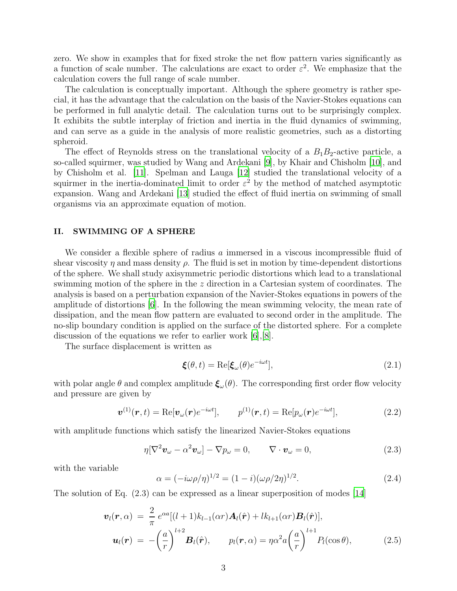zero. We show in examples that for fixed stroke the net flow pattern varies significantly as a function of scale number. The calculations are exact to order  $\varepsilon^2$ . We emphasize that the calculation covers the full range of scale number.

The calculation is conceptually important. Although the sphere geometry is rather special, it has the advantage that the calculation on the basis of the Navier-Stokes equations can be performed in full analytic detail. The calculation turns out to be surprisingly complex. It exhibits the subtle interplay of friction and inertia in the fluid dynamics of swimming, and can serve as a guide in the analysis of more realistic geometries, such as a distorting spheroid.

The effect of Reynolds stress on the translational velocity of a  $B_1B_2$ -active particle, a so-called squirmer, was studied by Wang and Ardekani [\[9](#page-25-8)], by Khair and Chisholm [\[10](#page-25-9)], and by Chisholm et al. [\[11](#page-25-10)]. Spelman and Lauga [\[12\]](#page-25-11) studied the translational velocity of a squirmer in the inertia-dominated limit to order  $\varepsilon^2$  by the method of matched asymptotic expansion. Wang and Ardekani [\[13\]](#page-25-12) studied the effect of fluid inertia on swimming of small organisms via an approximate equation of motion.

#### II. SWIMMING OF A SPHERE

We consider a flexible sphere of radius a immersed in a viscous incompressible fluid of shear viscosity  $\eta$  and mass density  $\rho$ . The fluid is set in motion by time-dependent distortions of the sphere. We shall study axisymmetric periodic distortions which lead to a translational swimming motion of the sphere in the z direction in a Cartesian system of coordinates. The analysis is based on a perturbation expansion of the Navier-Stokes equations in powers of the amplitude of distortions [\[6](#page-25-5)]. In the following the mean swimming velocity, the mean rate of dissipation, and the mean flow pattern are evaluated to second order in the amplitude. The no-slip boundary condition is applied on the surface of the distorted sphere. For a complete discussion of the equations we refer to earlier work [\[6\]](#page-25-5),[\[8](#page-25-7)].

The surface displacement is written as

$$
\boldsymbol{\xi}(\theta, t) = \text{Re}[\boldsymbol{\xi}_{\omega}(\theta)e^{-i\omega t}], \qquad (2.1)
$$

with polar angle  $\theta$  and complex amplitude  $\xi_{\omega}(\theta)$ . The corresponding first order flow velocity and pressure are given by

$$
\boldsymbol{v}^{(1)}(\boldsymbol{r},t) = \text{Re}[\boldsymbol{v}_{\omega}(\boldsymbol{r})e^{-i\omega t}], \qquad p^{(1)}(\boldsymbol{r},t) = \text{Re}[p_{\omega}(\boldsymbol{r})e^{-i\omega t}], \qquad (2.2)
$$

with amplitude functions which satisfy the linearized Navier-Stokes equations

$$
\eta[\nabla^2 \boldsymbol{v}_{\omega} - \alpha^2 \boldsymbol{v}_{\omega}] - \nabla p_{\omega} = 0, \qquad \nabla \cdot \boldsymbol{v}_{\omega} = 0,
$$
\n(2.3)

with the variable

$$
\alpha = (-i\omega \rho/\eta)^{1/2} = (1 - i)(\omega \rho/2\eta)^{1/2}.
$$
 (2.4)

The solution of Eq. (2.3) can be expressed as a linear superposition of modes [\[14\]](#page-25-13)

$$
\boldsymbol{v}_l(\boldsymbol{r},\alpha) = \frac{2}{\pi} e^{\alpha a} [(l+1)k_{l-1}(\alpha \boldsymbol{r}) \boldsymbol{A}_l(\hat{\boldsymbol{r}}) + lk_{l+1}(\alpha \boldsymbol{r}) \boldsymbol{B}_l(\hat{\boldsymbol{r}})],
$$
  

$$
\boldsymbol{u}_l(\boldsymbol{r}) = -\left(\frac{a}{r}\right)^{l+2} \boldsymbol{B}_l(\hat{\boldsymbol{r}}), \qquad p_l(\boldsymbol{r},\alpha) = \eta \alpha^2 a \left(\frac{a}{r}\right)^{l+1} P_l(\cos \theta),
$$
 (2.5)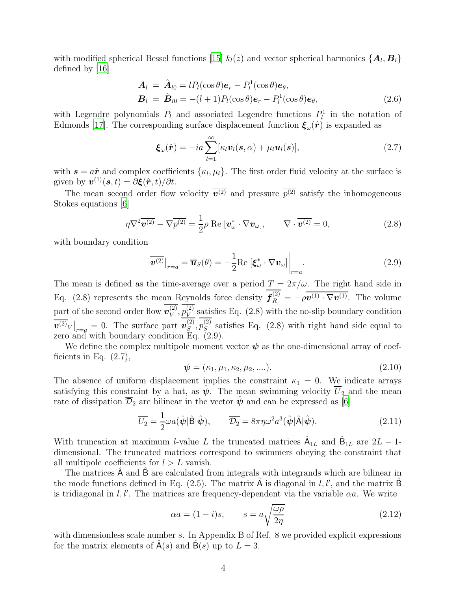with modified spherical Bessel functions [\[15\]](#page-25-14)  $k_l(z)$  and vector spherical harmonics  $\{A_l, B_l\}$ defined by [\[16\]](#page-25-15)

$$
\mathbf{A}_{l} = \hat{\mathbf{A}}_{l0} = lP_{l}(\cos\theta)\mathbf{e}_{r} - P_{l}^{1}(\cos\theta)\mathbf{e}_{\theta}, \n\mathbf{B}_{l} = \hat{\mathbf{B}}_{l0} = -(l+1)P_{l}(\cos\theta)\mathbf{e}_{r} - P_{l}^{1}(\cos\theta)\mathbf{e}_{\theta},
$$
\n(2.6)

with Legendre polynomials  $P_l$  and associated Legendre functions  $P_l^1$  in the notation of Edmonds [\[17\]](#page-25-16). The corresponding surface displacement function  $\xi_\omega(\hat{r})$  is expanded as

$$
\boldsymbol{\xi}_{\omega}(\hat{\boldsymbol{r}}) = -ia \sum_{l=1}^{\infty} [\kappa_l \boldsymbol{v}_l(\boldsymbol{s}, \alpha) + \mu_l \boldsymbol{u}_l(\boldsymbol{s})], \qquad (2.7)
$$

with  $s = a\hat{r}$  and complex coefficients  $\{\kappa_l, \mu_l\}$ . The first order fluid velocity at the surface is given by  $\mathbf{v}^{(1)}(\mathbf{s}, t) = \partial \boldsymbol{\xi}(\hat{\boldsymbol{r}}, t) / \partial t$ .

The mean second order flow velocity  $v^{(2)}$  and pressure  $p^{(2)}$  satisfy the inhomogeneous Stokes equations [\[6](#page-25-5)]

$$
\eta \nabla^2 \overline{\boldsymbol{v}^{(2)}} - \nabla \overline{p^{(2)}} = \frac{1}{2} \rho \operatorname{Re} \left[ \boldsymbol{v}_{\omega}^* \cdot \nabla \boldsymbol{v}_{\omega} \right], \qquad \nabla \cdot \overline{\boldsymbol{v}^{(2)}} = 0,
$$
\n(2.8)

with boundary condition

$$
\overline{\boldsymbol{v}^{(2)}}\big|_{r=a} = \overline{\boldsymbol{u}}_S(\theta) = -\frac{1}{2} \text{Re}\left[\boldsymbol{\xi}_{\omega}^* \cdot \nabla \boldsymbol{v}_{\omega}\right]\bigg|_{r=a}.
$$
\n(2.9)

The mean is defined as the time-average over a period  $T = 2\pi/\omega$ . The right hand side in Eq. (2.8) represents the mean Reynolds force density  $f_R^{(2)} = -\rho \overline{\boldsymbol{v}^{(1)} \cdot \nabla \boldsymbol{v}^{(1)}}$ . The volume part of the second order flow  $v_V^{(2)}$  $_{V}^{\left( 2\right) },p_{V}^{\left( 2\right) }$  $\frac{V}{V}$  satisfies Eq. (2.8) with the no-slip boundary condition  $\overline{\bm{v}^{(2)}}_V\big|_{r=q} = 0.$  The surface part  $\bm{v}_S^{(2)}$  $_{S}^{\left( 2\right) },p_{S}^{\left( 2\right) }$  $S<sub>S</sub>$  satisfies Eq. (2.8) with right hand side equal to zero and with boundary condition Eq. (2.9).

We define the complex multipole moment vector  $\psi$  as the one-dimensional array of coefficients in Eq.  $(2.7)$ ,

$$
\psi = (\kappa_1, \mu_1, \kappa_2, \mu_2, ....). \tag{2.10}
$$

The absence of uniform displacement implies the constraint  $\kappa_1 = 0$ . We indicate arrays satisfying this constraint by a hat, as  $\psi$ . The mean swimming velocity  $\overline{U}_2$  and the mean rate of dissipation  $\mathcal{D}_2$  are bilinear in the vector  $\psi$  and can be expressed as [\[6\]](#page-25-5)

$$
\overline{U_2} = \frac{1}{2} \omega a(\hat{\psi}|\hat{\mathbf{B}}|\hat{\psi}), \qquad \overline{\mathcal{D}_2} = 8\pi \eta \omega^2 a^3(\hat{\psi}|\hat{\mathbf{A}}|\hat{\psi}). \tag{2.11}
$$

With truncation at maximum *l*-value L the truncated matrices  $\hat{A}_{1L}$  and  $\hat{B}_{1L}$  are  $2L - 1$ dimensional. The truncated matrices correspond to swimmers obeying the constraint that all multipole coefficients for  $l > L$  vanish.

The matrices A and B are calculated from integrals with integrands which are bilinear in the mode functions defined in Eq. (2.5). The matrix  $\hat{A}$  is diagonal in l, l', and the matrix  $\hat{B}$ is tridiagonal in  $l, l'$ . The matrices are frequency-dependent via the variable  $\alpha a$ . We write

$$
\alpha a = (1 - i)s, \qquad s = a \sqrt{\frac{\omega \rho}{2\eta}} \tag{2.12}
$$

with dimensionless scale number s. In Appendix B of Ref. 8 we provided explicit expressions for the matrix elements of  $\mathsf{A}(s)$  and  $\mathsf{B}(s)$  up to  $L = 3$ .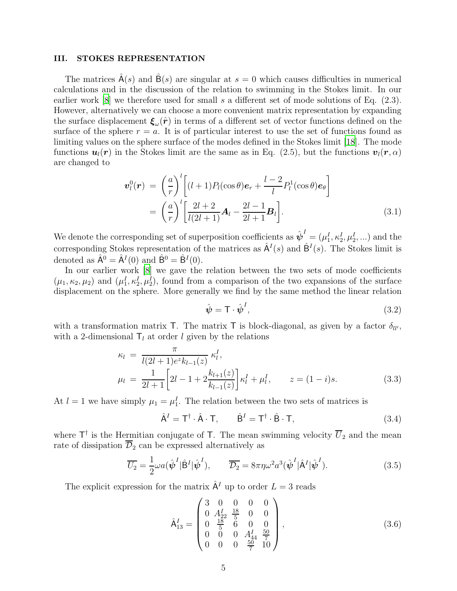#### III. STOKES REPRESENTATION

The matrices  $A(s)$  and  $B(s)$  are singular at  $s = 0$  which causes difficulties in numerical calculations and in the discussion of the relation to swimming in the Stokes limit. In our earlier work [\[8\]](#page-25-7) we therefore used for small s a different set of mode solutions of Eq. (2.3). However, alternatively we can choose a more convenient matrix representation by expanding the surface displacement  $\xi_\omega(\hat{r})$  in terms of a different set of vector functions defined on the surface of the sphere  $r = a$ . It is of particular interest to use the set of functions found as limiting values on the sphere surface of the modes defined in the Stokes limit [\[18\]](#page-25-17). The mode functions  $u_l(r)$  in the Stokes limit are the same as in Eq. (2.5), but the functions  $v_l(r, \alpha)$ are changed to

$$
\boldsymbol{v}_{l}^{0}(\boldsymbol{r}) = \left(\frac{a}{r}\right)^{l} \left[ (l+1)P_{l}(\cos\theta)\boldsymbol{e}_{r} + \frac{l-2}{l}P_{l}^{1}(\cos\theta)\boldsymbol{e}_{\theta} \right]
$$

$$
= \left(\frac{a}{r}\right)^{l} \left[ \frac{2l+2}{l(2l+1)}\boldsymbol{A}_{l} - \frac{2l-1}{2l+1}\boldsymbol{B}_{l} \right]. \tag{3.1}
$$

We denote the corresponding set of superposition coefficients as  $\hat{\psi}^I = (\mu_1^I, \kappa_2^I, \mu_2^I, \ldots)$  and the corresponding Stokes representation of the matrices as  $\hat{A}^{I}(s)$  and  $\hat{B}^{I}(s)$ . The Stokes limit is denoted as  $\hat{A}^0 = \hat{A}^I(0)$  and  $\hat{B}^0 = \hat{B}^I(0)$ .

In our earlier work  $[8]$  we gave the relation between the two sets of mode coefficients  $(\mu_1, \kappa_2, \mu_2)$  and  $(\mu_1^I, \kappa_2^I, \mu_2^I)$ , found from a comparison of the two expansions of the surface displacement on the sphere. More generally we find by the same method the linear relation

$$
\hat{\psi} = \mathsf{T} \cdot \hat{\psi}^I,\tag{3.2}
$$

with a transformation matrix T. The matrix T is block-diagonal, as given by a factor  $\delta_{ll'}$ , with a 2-dimensional  $T_l$  at order l given by the relations

$$
\kappa_l = \frac{\pi}{l(2l+1)e^{z}k_{l-1}(z)} \kappa_l^I,
$$
  
\n
$$
\mu_l = \frac{1}{2l+1} \left[ 2l - 1 + 2\frac{k_{l+1}(z)}{k_{l-1}(z)} \right] \kappa_l^I + \mu_l^I, \qquad z = (1-i)s.
$$
\n(3.3)

At  $l = 1$  we have simply  $\mu_1 = \mu_1^I$ . The relation between the two sets of matrices is

$$
\hat{\mathbf{A}}^I = \mathbf{T}^\dagger \cdot \hat{\mathbf{A}} \cdot \mathbf{T}, \qquad \hat{\mathbf{B}}^I = \mathbf{T}^\dagger \cdot \hat{\mathbf{B}} \cdot \mathbf{T}, \tag{3.4}
$$

where  $\mathsf{T}^\dagger$  is the Hermitian conjugate of  $\mathsf{T}$ . The mean swimming velocity  $\overline{U}_2$  and the mean rate of dissipation  $\overline{\mathcal{D}}_2$  can be expressed alternatively as

$$
\overline{U_2} = \frac{1}{2} \omega a(\hat{\psi}^I | \hat{\mathbf{B}}^I | \hat{\psi}^I), \qquad \overline{\mathcal{D}_2} = 8\pi \eta \omega^2 a^3(\hat{\psi}^I | \hat{\mathbf{A}}^I | \hat{\psi}^I).
$$
\n(3.5)

The explicit expression for the matrix  $\hat{A}^I$  up to order  $L = 3$  reads

$$
\hat{\mathsf{A}}_{13}^{I} = \begin{pmatrix} 3 & 0 & 0 & 0 & 0 \\ 0 & A_{22}^{I} & \frac{18}{5} & 0 & 0 \\ 0 & \frac{18}{5} & 6 & 0 & 0 \\ 0 & 0 & 0 & A_{44}^{I} & \frac{50}{7} \\ 0 & 0 & 0 & \frac{50}{7} & 10 \end{pmatrix}, \tag{3.6}
$$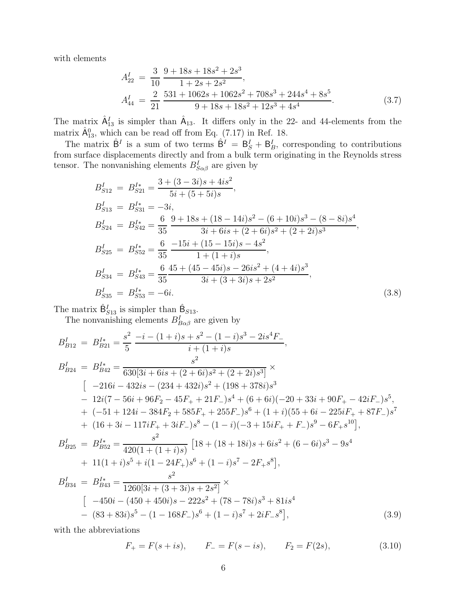with elements

$$
A_{22}^I = \frac{3}{10} \frac{9 + 18s + 18s^2 + 2s^3}{1 + 2s + 2s^2},
$$
  
\n
$$
A_{44}^I = \frac{2}{21} \frac{531 + 1062s + 1062s^2 + 708s^3 + 244s^4 + 8s^5}{9 + 18s + 18s^2 + 12s^3 + 4s^4}.
$$
\n(3.7)

The matrix  $\hat{A}_{13}^I$  is simpler than  $\hat{A}_{13}$ . It differs only in the 22- and 44-elements from the matrix  $\hat{A}_{13}^0$ , which can be read off from Eq. (7.17) in Ref. 18.

The matrix  $\hat{\mathsf{B}}^I$  is a sum of two terms  $\hat{\mathsf{B}}^I = \mathsf{B}^I_s + \mathsf{B}^I_s$ , corresponding to contributions from surface displacements directly and from a bulk term originating in the Reynolds stress tensor. The nonvanishing elements  $B_{S\alpha\beta}^{I}$  are given by

$$
B_{S12}^{I} = B_{S21}^{I*} = \frac{3 + (3 - 3i)s + 4is^{2}}{5i + (5 + 5i)s},
$$
  
\n
$$
B_{S13}^{I} = B_{S31}^{I*} = -3i,
$$
  
\n
$$
B_{S24}^{I} = B_{S42}^{I*} = \frac{6}{35} \frac{9 + 18s + (18 - 14i)s^{2} - (6 + 10i)s^{3} - (8 - 8i)s^{4}}{3i + 6is + (2 + 6i)s^{2} + (2 + 2i)s^{3}},
$$
  
\n
$$
B_{S25}^{I} = B_{S52}^{I*} = \frac{6}{35} \frac{-15i + (15 - 15i)s - 4s^{2}}{1 + (1 + i)s},
$$
  
\n
$$
B_{S34}^{I} = B_{S43}^{I*} = \frac{6}{35} \frac{45 + (45 - 45i)s - 26is^{2} + (4 + 4i)s^{3}}{3i + (3 + 3i)s + 2s^{2}},
$$
  
\n
$$
B_{S35}^{I} = B_{S53}^{I*} = -6i.
$$
  
\n(3.8)

The matrix  $\hat{\mathsf{B}}_{S13}^I$  is simpler than  $\hat{\mathsf{B}}_{S13}$ .

The nonvanishing elements  $B_{B\alpha\beta}^I$  are given by

$$
B_{B12}^{I} = B_{B21}^{I*} = \frac{s^2}{5} \frac{-i - (1+i)s + s^2 - (1-i)s^3 - 2is^4F_-}{i + (1+i)s},
$$
  
\n
$$
B_{B24}^{I} = B_{B42}^{I*} = \frac{s^2}{630[3i + 6is + (2+6i)s^2 + (2+2i)s^3]} \times
$$
  
\n
$$
[-216i - 432is - (234 + 432i)s^2 + (198 + 378i)s^3
$$
  
\n
$$
- 12i(7 - 56i + 96F_2 - 45F_1 + 21F_-)s^4 + (6+6i)(-20 + 33i + 90F_1 - 42iF_-)s^5,
$$
  
\n
$$
+ (-51 + 124i - 384F_2 + 585F_1 + 255F_-)s^6 + (1+i)(55 + 6i - 225iF_1 + 87F_-)s^7
$$
  
\n
$$
+ (16 + 3i - 117iF_1 + 3iF_-)s^8 - (1-i)(-3 + 15iF_1 + F_-)s^9 - 6F_+s^{10}],
$$
  
\n
$$
B_{B25}^{I*} = B_{B52}^{I*} = \frac{s^2}{420(1 + (1+i)s)} [18 + (18 + 18i)s + 6is^2 + (6 - 6i)s^3 - 9s^4
$$
  
\n
$$
+ 11(1+i)s^5 + i(1 - 24F_+)s^6 + (1-i)s^7 - 2F_+s^8],
$$
  
\n
$$
B_{B34}^{I*} = B_{B43}^{I*} = \frac{s^2}{1260[3i + (3+3i)s + 2s^2]} \times
$$
  
\n
$$
[-450i - (450 + 450i)s - 222s^2 + (78 - 78i)s^3 + 81is^4
$$
  
\n
$$
- (83 + 83i)s^5 - (1 - 168F_-)s^6 + (1 - i)s^7 + 2iF_-s^8],
$$
  
\n(3.9)

with the abbreviations

$$
F_{+} = F(s + is), \qquad F_{-} = F(s - is), \qquad F_{2} = F(2s), \tag{3.10}
$$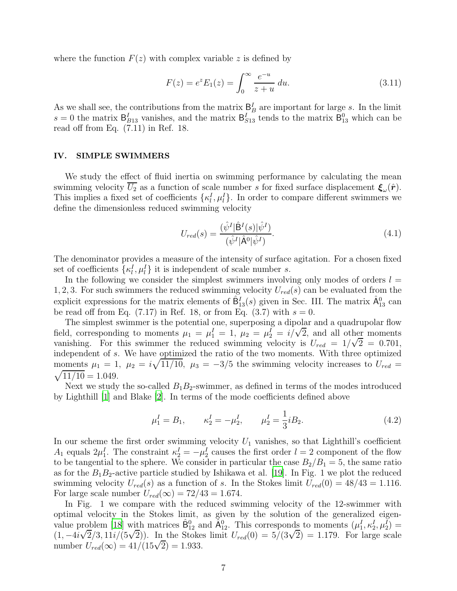where the function  $F(z)$  with complex variable z is defined by

$$
F(z) = e^{z} E_1(z) = \int_0^\infty \frac{e^{-u}}{z+u} du.
$$
 (3.11)

As we shall see, the contributions from the matrix  $\mathbf{\beta}_B^I$  are important for large s. In the limit  $s = 0$  the matrix  $B_{B13}^I$  vanishes, and the matrix  $B_{S13}^I$  tends to the matrix  $B_{13}^0$  which can be read off from Eq. (7.11) in Ref. 18.

### IV. SIMPLE SWIMMERS

We study the effect of fluid inertia on swimming performance by calculating the mean swimming velocity  $U_2$  as a function of scale number s for fixed surface displacement  $\xi_\omega(\hat{r})$ . This implies a fixed set of coefficients  $\{\kappa_l^I, \mu_l^I\}$ . In order to compare different swimmers we define the dimensionless reduced swimming velocity

$$
U_{red}(s) = \frac{(\hat{\psi}^I | \hat{\mathbf{B}}^I(s) | \hat{\psi}^I)}{(\hat{\psi}^I | \hat{\mathbf{A}}^0 | \hat{\psi}^I)}.
$$
\n(4.1)

The denominator provides a measure of the intensity of surface agitation. For a chosen fixed set of coefficients  $\{\kappa_l^I, \mu_l^I\}$  it is independent of scale number s.

In the following we consider the simplest swimmers involving only modes of orders  $l =$ 1, 2, 3. For such swimmers the reduced swimming velocity  $U_{red}(s)$  can be evaluated from the explicit expressions for the matrix elements of  $\hat{B}_{13}^I(s)$  given in Sec. III. The matrix  $\hat{A}_{13}^0$  can be read off from Eq.  $(7.17)$  in Ref. 18, or from Eq.  $(3.7)$  with  $s = 0$ .

The simplest swimmer is the potential one, superposing a dipolar and a quadrupolar flow field, corresponding to moments  $\mu_1 = \mu_1^I = 1$ ,  $\mu_2 = \mu_2^I = i/\sqrt{2}$ , and all other moments vanishing. For this swimmer the reduced swimming velocity is  $U_{red} = 1/\sqrt{2} = 0.701$ , independent of s. We have optimized the ratio of the two moments. With three optimized moments  $\mu_1 = 1$ ,  $\mu_2 = i\sqrt{11/10}$ ,  $\mu_3 = -3/5$  the swimming velocity increases to  $U_{red} =$  $\sqrt{11/10} = 1.049.$ 

Next we study the so-called  $B_1B_2$ -swimmer, as defined in terms of the modes introduced by Lighthill [\[1\]](#page-25-0) and Blake [\[2\]](#page-25-1). In terms of the mode coefficients defined above

$$
\mu_1^I = B_1, \qquad \kappa_2^I = -\mu_2^I, \qquad \mu_2^I = \frac{1}{3} i B_2. \tag{4.2}
$$

In our scheme the first order swimming velocity  $U_1$  vanishes, so that Lighthill's coefficient  $A_1$  equals  $2\mu_1^I$ . The constraint  $\kappa_2^I = -\mu_2^I$  causes the first order  $l = 2$  component of the flow to be tangential to the sphere. We consider in particular the case  $B_2/B_1 = 5$ , the same ratio as for the  $B_1B_2$ -active particle studied by Ishikawa et al. [\[19](#page-25-18)]. In Fig. 1 we plot the reduced swimming velocity  $U_{red}(s)$  as a function of s. In the Stokes limit  $U_{red}(0) = 48/43 = 1.116$ . For large scale number  $U_{red}(\infty) = 72/43 = 1.674$ .

In Fig. 1 we compare with the reduced swimming velocity of the 12-swimmer with optimal velocity in the Stokes limit, as given by the solution of the generalized eigen-value problem [\[18](#page-25-17)] with matrices  $\hat{B}_{12}^0$  and  $\tilde{A}_{12}^0$ . This corresponds to moments  $(\mu_1^I, \kappa_2^I, \mu_2^I)$  = (1,  $-4i\sqrt{2}/3$ ,  $11i/(5\sqrt{2})$ ). In the Stokes limit  $U_{red}(0) = 5/(3\sqrt{2}) = 1.179$ . For large scale number  $U_{red}(\infty) = 41/(15\sqrt{2}) = 1.933$ .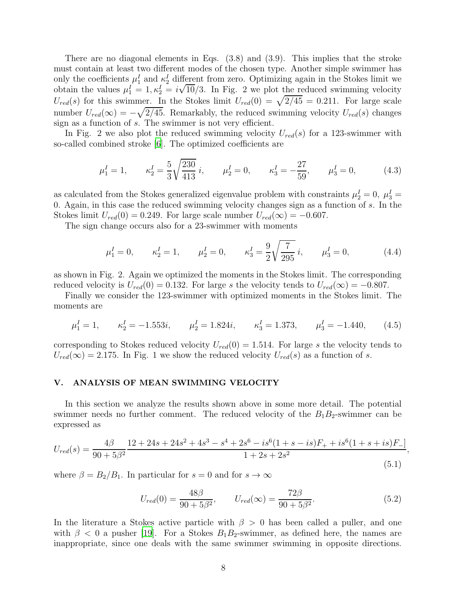There are no diagonal elements in Eqs.  $(3.8)$  and  $(3.9)$ . This implies that the stroke must contain at least two different modes of the chosen type. Another simple swimmer has only the coefficients  $\mu_1^I$  and  $\kappa_2^I$  different from zero. Optimizing again in the Stokes limit we obtain the values  $\mu_1^I = 1, \kappa_2^I = i\sqrt{10}/3$ . In Fig. 2 we plot the reduced swimming velocity  $U_{red}(s)$  for this swimmer. In the Stokes limit  $U_{red}(0) = \sqrt{2/45} = 0.211$ . For large scale number  $U_{red}(\infty) = -\sqrt{\frac{2}{45}}$ . Remarkably, the reduced swimming velocity  $U_{red}(s)$  changes sign as a function of s. The swimmer is not very efficient.

In Fig. 2 we also plot the reduced swimming velocity  $U_{red}(s)$  for a 123-swimmer with so-called combined stroke [\[6\]](#page-25-5). The optimized coefficients are

$$
\mu_1^I = 1,
$$
\n $\kappa_2^I = \frac{5}{3} \sqrt{\frac{230}{413}} i,$ \n $\mu_2^I = 0,$ \n $\kappa_3^I = -\frac{27}{59},$ \n $\mu_3^I = 0,$ \n(4.3)

as calculated from the Stokes generalized eigenvalue problem with constraints  $\mu_2^I = 0$ ,  $\mu_3^I =$ 0. Again, in this case the reduced swimming velocity changes sign as a function of s. In the Stokes limit  $U_{red}(0) = 0.249$ . For large scale number  $U_{red}(\infty) = -0.607$ .

The sign change occurs also for a 23-swimmer with moments

$$
\mu_1^I = 0,
$$
\n $\kappa_2^I = 1,$ \n $\mu_2^I = 0,$ \n $\kappa_3^I = \frac{9}{2} \sqrt{\frac{7}{295}} i,$ \n $\mu_3^I = 0,$ \n(4.4)

as shown in Fig. 2. Again we optimized the moments in the Stokes limit. The corresponding reduced velocity is  $U_{red}(0) = 0.132$ . For large s the velocity tends to  $U_{red}(\infty) = -0.807$ .

Finally we consider the 123-swimmer with optimized moments in the Stokes limit. The moments are

$$
\mu_1^I = 1,
$$
\n $\kappa_2^I = -1.553i,$ \n $\mu_2^I = 1.824i,$ \n $\kappa_3^I = 1.373,$ \n $\mu_3^I = -1.440,$ \n
$$
(4.5)
$$

corresponding to Stokes reduced velocity  $U_{red}(0) = 1.514$ . For large s the velocity tends to  $U_{red}(\infty) = 2.175$ . In Fig. 1 we show the reduced velocity  $U_{red}(s)$  as a function of s.

### V. ANALYSIS OF MEAN SWIMMING VELOCITY

In this section we analyze the results shown above in some more detail. The potential swimmer needs no further comment. The reduced velocity of the  $B_1B_2$ -swimmer can be expressed as

$$
U_{red}(s) = \frac{4\beta}{90+5\beta^2} \frac{12+24s+24s^2+4s^3-s^4+2s^6-is^6(1+s-is)F_+ + is^6(1+s+is)F_-]}{1+2s+2s^2}
$$
\n(5.1)

where  $\beta = B_2/B_1$ . In particular for  $s = 0$  and for  $s \to \infty$ 

$$
U_{red}(0) = \frac{48\beta}{90 + 5\beta^2}, \qquad U_{red}(\infty) = \frac{72\beta}{90 + 5\beta^2}.
$$
\n(5.2)

,

In the literature a Stokes active particle with  $\beta > 0$  has been called a puller, and one with  $\beta$  < 0 a pusher [\[19\]](#page-25-18). For a Stokes  $B_1B_2$ -swimmer, as defined here, the names are inappropriate, since one deals with the same swimmer swimming in opposite directions.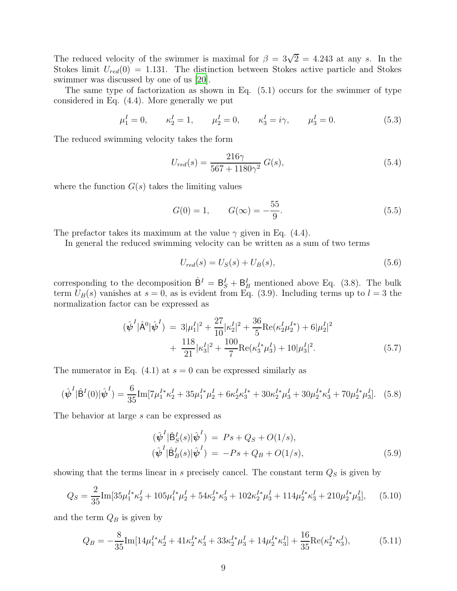The reduced velocity of the swimmer is maximal for  $\beta = 3\sqrt{2} = 4.243$  at any s. In the Stokes limit  $U_{red}(0) = 1.131$ . The distinction between Stokes active particle and Stokes swimmer was discussed by one of us [\[20\]](#page-25-19).

The same type of factorization as shown in Eq. (5.1) occurs for the swimmer of type considered in Eq. (4.4). More generally we put

$$
\mu_1^I = 0,
$$
\n $\kappa_2^I = 1,$ \n $\mu_2^I = 0,$ \n $\kappa_3^I = i\gamma,$ \n $\mu_3^I = 0.$ \n(5.3)

The reduced swimming velocity takes the form

$$
U_{red}(s) = \frac{216\gamma}{567 + 1180\gamma^2} G(s),\tag{5.4}
$$

where the function  $G(s)$  takes the limiting values

$$
G(0) = 1, \qquad G(\infty) = -\frac{55}{9}.
$$
\n(5.5)

The prefactor takes its maximum at the value  $\gamma$  given in Eq. (4.4).

In general the reduced swimming velocity can be written as a sum of two terms

$$
U_{red}(s) = U_S(s) + U_B(s),
$$
\n(5.6)

corresponding to the decomposition  $\hat{\mathsf{B}}^I = \mathsf{B}_S^I + \mathsf{B}_B^I$  mentioned above Eq. (3.8). The bulk term  $U_B(s)$  vanishes at  $s = 0$ , as is evident from Eq. (3.9). Including terms up to  $l = 3$  the normalization factor can be expressed as

$$
(\hat{\psi}^{I}|\hat{\mathbf{A}}^{0}|\hat{\psi}^{I}) = 3|\mu_{1}^{I}|^{2} + \frac{27}{10}|\kappa_{2}^{I}|^{2} + \frac{36}{5}\text{Re}(\kappa_{2}^{I}\mu_{2}^{I*}) + 6|\mu_{2}^{I}|^{2} + \frac{118}{21}|\kappa_{3}^{I}|^{2} + \frac{100}{7}\text{Re}(\kappa_{3}^{I*}\mu_{3}^{I}) + 10|\mu_{3}^{I}|^{2}.
$$
\n(5.7)

The numerator in Eq.  $(4.1)$  at  $s = 0$  can be expressed similarly as

$$
(\hat{\boldsymbol{\psi}}^{I}|\hat{\mathbf{B}}^{I}(0)|\hat{\boldsymbol{\psi}}^{I}) = \frac{6}{35}\text{Im}[7\mu_{1}^{I*}\kappa_{2}^{I} + 35\mu_{1}^{I*}\mu_{2}^{I} + 6\kappa_{2}^{I}\kappa_{3}^{I*} + 30\kappa_{2}^{I*}\mu_{3}^{I} + 30\mu_{2}^{I*}\kappa_{3}^{I} + 70\mu_{2}^{I*}\mu_{3}^{I}].
$$
 (5.8)

The behavior at large s can be expressed as

$$
(\hat{\psi}^{I} | \hat{\mathsf{B}}_{S}^{I}(s) | \hat{\psi}^{I}) = Ps + Q_{S} + O(1/s),
$$
  
\n
$$
(\hat{\psi}^{I} | \hat{\mathsf{B}}_{B}^{I}(s) | \hat{\psi}^{I}) = -Ps + Q_{B} + O(1/s),
$$
\n(5.9)

showing that the terms linear in s precisely cancel. The constant term  $Q<sub>S</sub>$  is given by

$$
Q_S = \frac{2}{35} \text{Im}[35\mu_1^{I*} \kappa_2^I + 105\mu_1^{I*} \mu_2^I + 54\mu_2^{I*} \kappa_3^I + 102\mu_2^{I*} \mu_3^I + 114\mu_2^{I*} \kappa_3^I + 210\mu_2^{I*} \mu_3^I], \quad (5.10)
$$

and the term  $Q_B$  is given by

$$
Q_B = -\frac{8}{35} \text{Im} \left[ 14\mu_1^{I*} \kappa_2^I + 41\mu_2^{I*} \kappa_3^I + 33\mu_2^{I*} \mu_3^I + 14\mu_2^{I*} \kappa_3^I \right] + \frac{16}{35} \text{Re} \left( \kappa_2^{I*} \kappa_3^I \right),\tag{5.11}
$$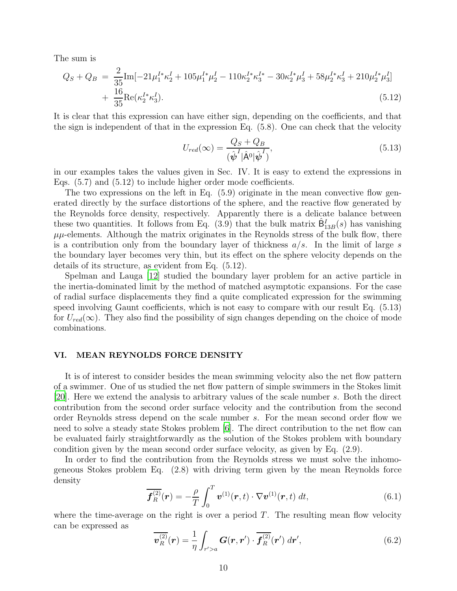The sum is

$$
Q_S + Q_B = \frac{2}{35} \text{Im}[-21\mu_1^{I*} \kappa_2^I + 105\mu_1^{I*} \mu_2^I - 110\kappa_2^{I*} \kappa_3^{I*} - 30\kappa_2^{I*} \mu_3^I + 58\mu_2^{I*} \kappa_3^I + 210\mu_2^{I*} \mu_3^I] + \frac{16}{35} \text{Re}(\kappa_2^{I*} \kappa_3^I). \tag{5.12}
$$

It is clear that this expression can have either sign, depending on the coefficients, and that the sign is independent of that in the expression Eq. (5.8). One can check that the velocity

$$
U_{red}(\infty) = \frac{Q_S + Q_B}{(\hat{\psi}^I | \hat{\mathbf{A}}^0 | \hat{\psi}^I)},
$$
\n(5.13)

in our examples takes the values given in Sec. IV. It is easy to extend the expressions in Eqs. (5.7) and (5.12) to include higher order mode coefficients.

The two expressions on the left in Eq. (5.9) originate in the mean convective flow generated directly by the surface distortions of the sphere, and the reactive flow generated by the Reynolds force density, respectively. Apparently there is a delicate balance between these two quantities. It follows from Eq.  $(3.9)$  that the bulk matrix  $\hat{\mathsf{B}}_{13B}^I(s)$  has vanishing  $\mu\mu$ -elements. Although the matrix originates in the Reynolds stress of the bulk flow, there is a contribution only from the boundary layer of thickness  $a/s$ . In the limit of large s the boundary layer becomes very thin, but its effect on the sphere velocity depends on the details of its structure, as evident from Eq. (5.12).

Spelman and Lauga [\[12](#page-25-11)] studied the boundary layer problem for an active particle in the inertia-dominated limit by the method of matched asymptotic expansions. For the case of radial surface displacements they find a quite complicated expression for the swimming speed involving Gaunt coefficients, which is not easy to compare with our result Eq. (5.13) for  $U_{red}(\infty)$ . They also find the possibility of sign changes depending on the choice of mode combinations.

### VI. MEAN REYNOLDS FORCE DENSITY

It is of interest to consider besides the mean swimming velocity also the net flow pattern of a swimmer. One of us studied the net flow pattern of simple swimmers in the Stokes limit [\[20](#page-25-19)]. Here we extend the analysis to arbitrary values of the scale number s. Both the direct contribution from the second order surface velocity and the contribution from the second order Reynolds stress depend on the scale number s. For the mean second order flow we need to solve a steady state Stokes problem [\[6](#page-25-5)]. The direct contribution to the net flow can be evaluated fairly straightforwardly as the solution of the Stokes problem with boundary condition given by the mean second order surface velocity, as given by Eq. (2.9).

In order to find the contribution from the Reynolds stress we must solve the inhomogeneous Stokes problem Eq. (2.8) with driving term given by the mean Reynolds force density

$$
\overline{\boldsymbol{f}_{R}^{(2)}}(\boldsymbol{r}) = -\frac{\rho}{T} \int_{0}^{T} \boldsymbol{v}^{(1)}(\boldsymbol{r}, t) \cdot \nabla \boldsymbol{v}^{(1)}(\boldsymbol{r}, t) dt, \qquad (6.1)
$$

where the time-average on the right is over a period  $T$ . The resulting mean flow velocity can be expressed as

$$
\overline{\boldsymbol{v}_{R}^{(2)}}(\boldsymbol{r}) = \frac{1}{\eta} \int_{r' > a} \boldsymbol{G}(\boldsymbol{r}, \boldsymbol{r}') \cdot \overline{\boldsymbol{f}_{R}^{(2)}}(\boldsymbol{r}') d\boldsymbol{r}', \qquad (6.2)
$$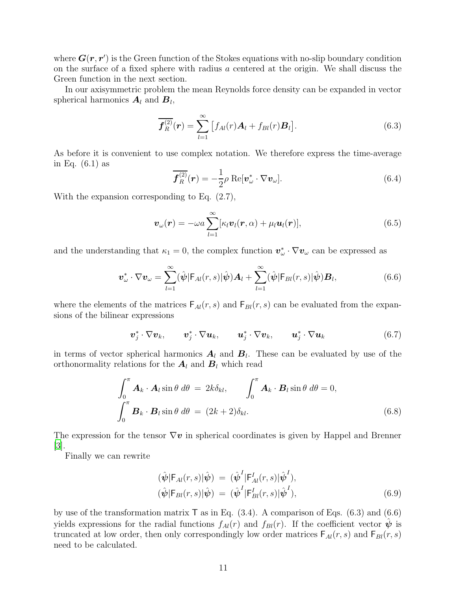where  $G(r, r')$  is the Green function of the Stokes equations with no-slip boundary condition on the surface of a fixed sphere with radius a centered at the origin. We shall discuss the Green function in the next section.

In our axisymmetric problem the mean Reynolds force density can be expanded in vector spherical harmonics  $A_l$  and  $B_l$ ,

$$
\overline{\boldsymbol{f}_{R}^{(2)}}(\boldsymbol{r}) = \sum_{l=1}^{\infty} \left[ f_{Al}(r) \boldsymbol{A}_{l} + f_{Bl}(r) \boldsymbol{B}_{l} \right]. \tag{6.3}
$$

As before it is convenient to use complex notation. We therefore express the time-average in Eq. (6.1) as

$$
\mathcal{F}_R^{(2)}(\mathbf{r}) = -\frac{1}{2}\rho \operatorname{Re}[\mathbf{v}_{\omega}^* \cdot \nabla \mathbf{v}_{\omega}].
$$
\n(6.4)

With the expansion corresponding to Eq. (2.7),

$$
\boldsymbol{v}_{\omega}(\boldsymbol{r}) = -\omega a \sum_{l=1}^{\infty} [\kappa_l \boldsymbol{v}_l(\boldsymbol{r}, \alpha) + \mu_l \boldsymbol{u}_l(\boldsymbol{r})], \qquad (6.5)
$$

and the understanding that  $\kappa_1 = 0$ , the complex function  $\mathbf{v}^*_{\omega} \cdot \nabla \mathbf{v}_{\omega}$  can be expressed as

$$
\boldsymbol{v}_{\omega}^* \cdot \nabla \boldsymbol{v}_{\omega} = \sum_{l=1}^{\infty} (\hat{\boldsymbol{\psi}} | \mathsf{F}_{Al}(r, s) | \hat{\boldsymbol{\psi}}) \boldsymbol{A}_l + \sum_{l=1}^{\infty} (\hat{\boldsymbol{\psi}} | \mathsf{F}_{Bl}(r, s) | \hat{\boldsymbol{\psi}}) \boldsymbol{B}_l, \tag{6.6}
$$

where the elements of the matrices  $F_{Al}(r, s)$  and  $F_{Bl}(r, s)$  can be evaluated from the expansions of the bilinear expressions

$$
\boldsymbol{v}_j^* \cdot \nabla \boldsymbol{v}_k, \qquad \boldsymbol{v}_j^* \cdot \nabla \boldsymbol{u}_k, \qquad \boldsymbol{u}_j^* \cdot \nabla \boldsymbol{v}_k, \qquad \boldsymbol{u}_j^* \cdot \nabla \boldsymbol{u}_k \tag{6.7}
$$

in terms of vector spherical harmonics  $A_l$  and  $B_l$ . These can be evaluated by use of the orthonormality relations for the  $A_l$  and  $B_l$  which read

$$
\int_0^{\pi} \mathbf{A}_k \cdot \mathbf{A}_l \sin \theta \, d\theta = 2k \delta_{kl}, \qquad \int_0^{\pi} \mathbf{A}_k \cdot \mathbf{B}_l \sin \theta \, d\theta = 0,
$$
\n
$$
\int_0^{\pi} \mathbf{B}_k \cdot \mathbf{B}_l \sin \theta \, d\theta = (2k+2) \delta_{kl}.
$$
\n(6.8)

The expression for the tensor  $\nabla v$  in spherical coordinates is given by Happel and Brenner [\[3](#page-25-2)].

Finally we can rewrite

$$
(\hat{\psi}|\mathsf{F}_{Al}(r,s)|\hat{\psi}) = (\hat{\psi}^{I}|\mathsf{F}_{Al}^{I}(r,s)|\hat{\psi}^{I}),\n(\hat{\psi}|\mathsf{F}_{Bl}(r,s)|\hat{\psi}) = (\hat{\psi}^{I}|\mathsf{F}_{Bl}^{I}(r,s)|\hat{\psi}^{I}),
$$
\n(6.9)

by use of the transformation matrix  $\mathsf{T}$  as in Eq. (3.4). A comparison of Eqs. (6.3) and (6.6) yields expressions for the radial functions  $f_{Al}(r)$  and  $f_{Bl}(r)$ . If the coefficient vector  $\psi$  is truncated at low order, then only correspondingly low order matrices  $F_{Al}(r, s)$  and  $F_{Bl}(r, s)$ need to be calculated.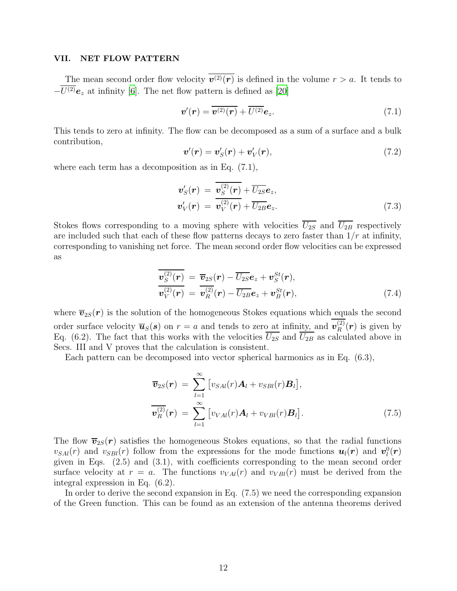### VII. NET FLOW PATTERN

The mean second order flow velocity  $\overline{v^{(2)}(r)}$  is defined in the volume  $r > a$ . It tends to  $-\overline{U^{(2)}}e_z$  at infinity [\[6\]](#page-25-5). The net flow pattern is defined as [\[20](#page-25-19)]

$$
\boldsymbol{v}'(\boldsymbol{r}) = \overline{\boldsymbol{v}^{(2)}(\boldsymbol{r})} + \overline{U^{(2)}} \boldsymbol{e}_z.
$$
 (7.1)

This tends to zero at infinity. The flow can be decomposed as a sum of a surface and a bulk contribution,

$$
\boldsymbol{v}'(\boldsymbol{r}) = \boldsymbol{v}'_S(\boldsymbol{r}) + \boldsymbol{v}'_V(\boldsymbol{r}),\tag{7.2}
$$

where each term has a decomposition as in Eq. (7.1),

$$
\boldsymbol{v}'_S(\boldsymbol{r}) = \overline{\boldsymbol{v}_S^{(2)}(\boldsymbol{r})} + \overline{U_{2S}} \boldsymbol{e}_z, \boldsymbol{v}'_V(\boldsymbol{r}) = \overline{\boldsymbol{v}_V^{(2)}(\boldsymbol{r})} + \overline{U_{2B}} \boldsymbol{e}_z.
$$
\n(7.3)

Stokes flows corresponding to a moving sphere with velocities  $\overline{U_{2S}}$  and  $\overline{U_{2B}}$  respectively are included such that each of these flow patterns decays to zero faster than  $1/r$  at infinity, corresponding to vanishing net force. The mean second order flow velocities can be expressed as

$$
\begin{aligned} \boldsymbol{v}_{S}^{(2)}(\boldsymbol{r}) &= \overline{\boldsymbol{v}}_{2S}(\boldsymbol{r}) - \overline{U_{2S}}\boldsymbol{e}_{z} + \boldsymbol{v}_{S}^{St}(\boldsymbol{r}), \\ \boldsymbol{v}_{V}^{(2)}(\boldsymbol{r}) &= \overline{\boldsymbol{v}_{R}^{(2)}}(\boldsymbol{r}) - \overline{U_{2B}}\boldsymbol{e}_{z} + \boldsymbol{v}_{B}^{St}(\boldsymbol{r}), \end{aligned} \tag{7.4}
$$

where  $\overline{\mathbf{v}}_{2S}(\mathbf{r})$  is the solution of the homogeneous Stokes equations which equals the second order surface velocity  $\overline{\boldsymbol{u}}_S(s)$  on  $r = a$  and tends to zero at infinity, and  $\boldsymbol{v}_R^{(2)}$  $\binom{2}{R}$  (**r**) is given by Eq. (6.2). The fact that this works with the velocities  $U_{2S}$  and  $U_{2B}$  as calculated above in Secs. III and V proves that the calculation is consistent.

Each pattern can be decomposed into vector spherical harmonics as in Eq. (6.3),

$$
\overline{\boldsymbol{v}}_{2S}(\boldsymbol{r}) = \sum_{l=1}^{\infty} \left[ v_{SAl}(r) \boldsymbol{A}_l + v_{SBl}(r) \boldsymbol{B}_l \right],
$$
  

$$
\overline{\boldsymbol{v}_R^{(2)}}(\boldsymbol{r}) = \sum_{l=1}^{\infty} \left[ v_{VAl}(r) \boldsymbol{A}_l + v_{VBl}(r) \boldsymbol{B}_l \right].
$$
 (7.5)

The flow  $\overline{v}_{2S}(r)$  satisfies the homogeneous Stokes equations, so that the radial functions  $v_{SAl}(r)$  and  $v_{SBl}(r)$  follow from the expressions for the mode functions  $u_l(r)$  and  $v_l^0(r)$ given in Eqs. (2.5) and (3.1), with coefficients corresponding to the mean second order surface velocity at  $r = a$ . The functions  $v_{VAl}(r)$  and  $v_{VBl}(r)$  must be derived from the integral expression in Eq. (6.2).

In order to derive the second expansion in Eq. (7.5) we need the corresponding expansion of the Green function. This can be found as an extension of the antenna theorems derived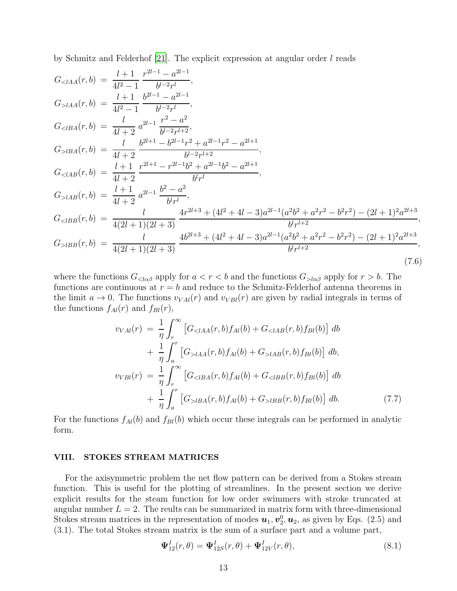by Schmitz and Felderhof  $[21]$ . The explicit expression at angular order l reads

$$
G_{\langle IAA}(r,b) = \frac{l+1}{4l^2-1} \frac{r^{2l-1}-a^{2l-1}}{b^{l-2}r^l},
$$
  
\n
$$
G_{\langle IBA}(r,b) = \frac{l+1}{4l^2-1} \frac{b^{2l-1}-a^{2l-1}}{b^{l-2}r^l},
$$
  
\n
$$
G_{\langle IBA}(r,b) = \frac{l}{4l+2} a^{2l-1} \frac{r^2-a^2}{b^{l-2}r^{l+2}},
$$
  
\n
$$
G_{\langle IBA}(r,b) = \frac{l}{4l+2} \frac{b^{2l+1}-b^{2l-1}r^2+a^{2l-1}r^2-a^{2l+1}}{b^{l-2}r^{l+2}},
$$
  
\n
$$
G_{\langle IAB}(r,b) = \frac{l+1}{4l+2} \frac{r^{2l+1}-r^{2l-1}b^2+a^{2l-1}b^2-a^{2l+1}}{b^{l}r^l},
$$
  
\n
$$
G_{\langle IAB}(r,b) = \frac{l+1}{4l+2} a^{2l-1} \frac{b^2-a^2}{b^{l}r^l},
$$
  
\n
$$
G_{\langle IBB}(r,b) = \frac{l+1}{4(2l+1)(2l+3)} \frac{4r^{2l+3}+(4l^2+4l-3)a^{2l-1}(a^2b^2+a^2r^2-b^2r^2)-(2l+1)^2a^{2l+3}}{b^{l}r^{l+2}},
$$
  
\n
$$
G_{\langle IBB}(r,b) = \frac{l}{4(2l+1)(2l+3)} \frac{4b^{2l+3}+(4l^2+4l-3)a^{2l-1}(a^2b^2+a^2r^2-b^2r^2)-(2l+1)^2a^{2l+3}}{b^{l}r^{l+2}},
$$
  
\n(7.6)

where the functions  $G_{\langle \alpha \beta}$  apply for  $a < r < b$  and the functions  $G_{\langle \alpha \beta}$  apply for  $r > b$ . The functions are continuous at  $r = b$  and reduce to the Schmitz-Felderhof antenna theorems in the limit  $a \to 0$ . The functions  $v_{VAl}(r)$  and  $v_{VBl}(r)$  are given by radial integrals in terms of the functions  $f_{Al}(r)$  and  $f_{Bl}(r)$ ,

$$
v_{VAl}(r) = \frac{1}{\eta} \int_{r}^{\infty} \left[ G_{&&&&{}l A A}(r, b) f_{Al}(b) + G_{&&&{}l A B}(r, b) f_{Bl}(b) \right] db + \frac{1}{\eta} \int_{a}^{r} \left[ G_{&&&{}l A A}(r, b) f_{Al}(b) + G_{&&&{}l A B}(r, b) f_{Bl}(b) \right] db, v_{VBl}(r) = \frac{1}{\eta} \int_{r}^{\infty} \left[ G_{&&&{}l B A}(r, b) f_{Al}(b) + G_{&&&{}l B B}(r, b) f_{Bl}(b) \right] db + \frac{1}{\eta} \int_{a}^{r} \left[ G_{&&&{}l B A}(r, b) f_{Al}(b) + G_{&&&{}l B B}(r, b) f_{Bl}(b) \right] db.
$$
 (7.7)

For the functions  $f_{Al}(b)$  and  $f_{Bl}(b)$  which occur these integrals can be performed in analytic form.

#### VIII. STOKES STREAM MATRICES

For the axisymmetric problem the net flow pattern can be derived from a Stokes stream function. This is useful for the plotting of streamlines. In the present section we derive explicit results for the steam function for low order swimmers with stroke truncated at angular number  $L = 2$ . The reults can be summarized in matrix form with three-dimensional Stokes stream matrices in the representation of modes  $u_1, v_2^0, u_2$ , as given by Eqs. (2.5) and (3.1). The total Stokes stream matrix is the sum of a surface part and a volume part,

$$
\Psi_{12}^I(r,\theta) = \Psi_{12S}^I(r,\theta) + \Psi_{12V}^I(r,\theta),\tag{8.1}
$$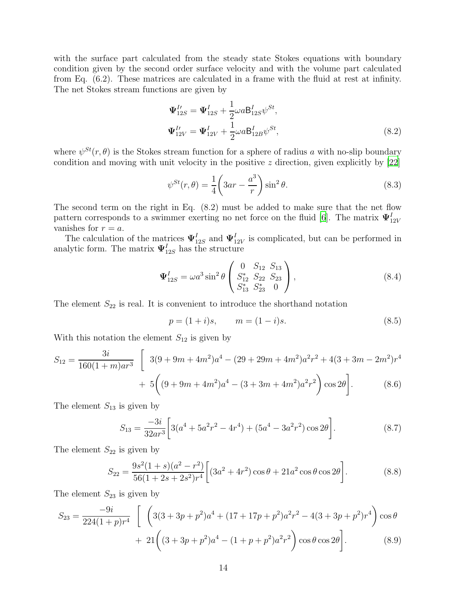with the surface part calculated from the steady state Stokes equations with boundary condition given by the second order surface velocity and with the volume part calculated from Eq. (6.2). These matrices are calculated in a frame with the fluid at rest at infinity. The net Stokes stream functions are given by

$$
\Psi_{12S}^{I\prime} = \Psi_{12S}^{I} + \frac{1}{2} \omega a \mathsf{B}_{12S}^{I} \psi^{St}, \n\Psi_{12V}^{I\prime} = \Psi_{12V}^{I} + \frac{1}{2} \omega a \mathsf{B}_{12B}^{I} \psi^{St},
$$
\n(8.2)

where  $\psi^{St}(r, \theta)$  is the Stokes stream function for a sphere of radius a with no-slip boundary condition and moving with unit velocity in the positive  $z$  direction, given explicitly by  $[22]$ 

$$
\psi^{St}(r,\theta) = \frac{1}{4} \left( 3ar - \frac{a^3}{r} \right) \sin^2 \theta.
$$
\n(8.3)

The second term on the right in Eq. (8.2) must be added to make sure that the net flow pattern corresponds to a swimmer exerting no net force on the fluid [\[6\]](#page-25-5). The matrix  $\Psi^I_{12V}$ vanishes for  $r = a$ .

The calculation of the matrices  $\Psi_{12S}^I$  and  $\Psi_{12V}^I$  is complicated, but can be performed in analytic form. The matrix  $\Psi_{12S}^{I}$  has the structure

$$
\Psi_{12S}^{I} = \omega a^{3} \sin^{2} \theta \begin{pmatrix} 0 & S_{12} & S_{13} \\ S_{12}^{*} & S_{22} & S_{23} \\ S_{13}^{*} & S_{23}^{*} & 0 \end{pmatrix},\tag{8.4}
$$

The element  $S_{22}$  is real. It is convenient to introduce the shorthand notation

$$
p = (1 + i)s, \qquad m = (1 - i)s. \tag{8.5}
$$

With this notation the element  $S_{12}$  is given by

$$
S_{12} = \frac{3i}{160(1+m)ar^3} \left[ 3(9+9m+4m^2)a^4 - (29+29m+4m^2)a^2r^2 + 4(3+3m-2m^2)r^4 + 5\left( (9+9m+4m^2)a^4 - (3+3m+4m^2)a^2r^2 \right) \cos 2\theta \right].
$$
 (8.6)

The element  $S_{13}$  is given by

$$
S_{13} = \frac{-3i}{32ar^3} \left[ 3(a^4 + 5a^2r^2 - 4r^4) + (5a^4 - 3a^2r^2) \cos 2\theta \right].
$$
 (8.7)

The element  $S_{22}$  is given by

$$
S_{22} = \frac{9s^2(1+s)(a^2 - r^2)}{56(1+2s+2s^2)r^4} \left[ (3a^2 + 4r^2)\cos\theta + 21a^2\cos\theta\cos 2\theta \right].
$$
 (8.8)

The element  $S_{23}$  is given by

$$
S_{23} = \frac{-9i}{224(1+p)r^4} \left[ \left( 3(3+3p+p^2)a^4 + (17+17p+p^2)a^2r^2 - 4(3+3p+p^2)r^4 \right) \cos\theta + 21\left( (3+3p+p^2)a^4 - (1+p+p^2)a^2r^2 \right) \cos\theta \cos 2\theta \right].
$$
 (8.9)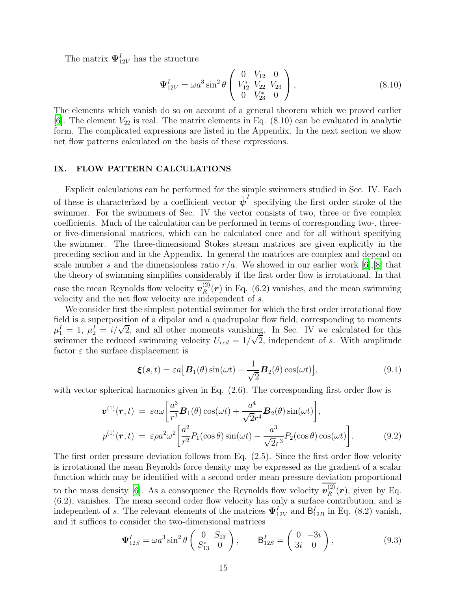The matrix  $\Psi^I_{12V}$  has the structure

$$
\Psi_{12V}^{I} = \omega a^{3} \sin^{2} \theta \begin{pmatrix} 0 & V_{12} & 0 \\ V_{12}^{*} & V_{22} & V_{23} \\ 0 & V_{23}^{*} & 0 \end{pmatrix}, \qquad (8.10)
$$

The elements which vanish do so on account of a general theorem which we proved earlier [\[6](#page-25-5)]. The element  $V_{22}$  is real. The matrix elements in Eq. (8.10) can be evaluated in analytic form. The complicated expressions are listed in the Appendix. In the next section we show net flow patterns calculated on the basis of these expressions.

### IX. FLOW PATTERN CALCULATIONS

Explicit calculations can be performed for the simple swimmers studied in Sec. IV. Each of these is characterized by a coefficient vector  $\hat{\psi}^I$  specifying the first order stroke of the swimmer. For the swimmers of Sec. IV the vector consists of two, three or five complex coefficients. Much of the calculation can be performed in terms of corresponding two-, threeor five-dimensional matrices, which can be calculated once and for all without specifying the swimmer. The three-dimensional Stokes stream matrices are given explicitly in the preceding section and in the Appendix. In general the matrices are complex and depend on scale number s and the dimensionless ratio  $r/a$ . We showed in our earlier work [\[6\]](#page-25-5), [\[8](#page-25-7)] that the theory of swimming simplifies considerably if the first order flow is irrotational. In that case the mean Reynolds flow velocity  $v_R^{(2)}$  $\binom{2}{R}$  (r) in Eq. (6.2) vanishes, and the mean swimming velocity and the net flow velocity are independent of s.

We consider first the simplest potential swimmer for which the first order irrotational flow field is a superposition of a dipolar and a quadrupolar flow field, corresponding to moments  $\mu_1^I = 1$ ,  $\mu_2^I = i/\sqrt{2}$ , and all other moments vanishing. In Sec. IV we calculated for this swimmer the reduced swimming velocity  $U_{red} = 1/\sqrt{2}$ , independent of s. With amplitude factor  $\varepsilon$  the surface displacement is

$$
\boldsymbol{\xi}(\boldsymbol{s},t) = \varepsilon a \big[\boldsymbol{B}_1(\theta)\sin(\omega t) - \frac{1}{\sqrt{2}}\boldsymbol{B}_2(\theta)\cos(\omega t)\big],\tag{9.1}
$$

with vector spherical harmonics given in Eq.  $(2.6)$ . The corresponding first order flow is

$$
\boldsymbol{v}^{(1)}(\boldsymbol{r},t) = \varepsilon a\omega \left[ \frac{a^3}{r^3} \boldsymbol{B}_1(\theta) \cos(\omega t) + \frac{a^4}{\sqrt{2}r^4} \boldsymbol{B}_2(\theta) \sin(\omega t) \right],
$$
  
\n
$$
p^{(1)}(\boldsymbol{r},t) = \varepsilon \rho a^2 \omega^2 \left[ \frac{a^2}{r^2} P_1(\cos\theta) \sin(\omega t) - \frac{a^3}{\sqrt{2}r^3} P_2(\cos\theta) \cos(\omega t) \right].
$$
 (9.2)

The first order pressure deviation follows from Eq. (2.5). Since the first order flow velocity is irrotational the mean Reynolds force density may be expressed as the gradient of a scalar function which may be identified with a second order mean pressure deviation proportional to the mass density [\[6\]](#page-25-5). As a consequence the Reynolds flow velocity  $v_R^{(2)}$  $\mathcal{L}_R^{(2)}(\boldsymbol{r})$ , given by Eq. (6.2), vanishes. The mean second order flow velocity has only a surface contribution, and is independent of s. The relevant elements of the matrices  $\Psi_{12V}^I$  and  $B_{12B}^I$  in Eq. (8.2) vanish, and it suffices to consider the two-dimensional matrices

$$
\Psi_{12S}^{I} = \omega a^{3} \sin^{2} \theta \begin{pmatrix} 0 & S_{13} \\ S_{13}^{*} & 0 \end{pmatrix}, \qquad \mathsf{B}_{12S}^{I} = \begin{pmatrix} 0 & -3i \\ 3i & 0 \end{pmatrix}, \tag{9.3}
$$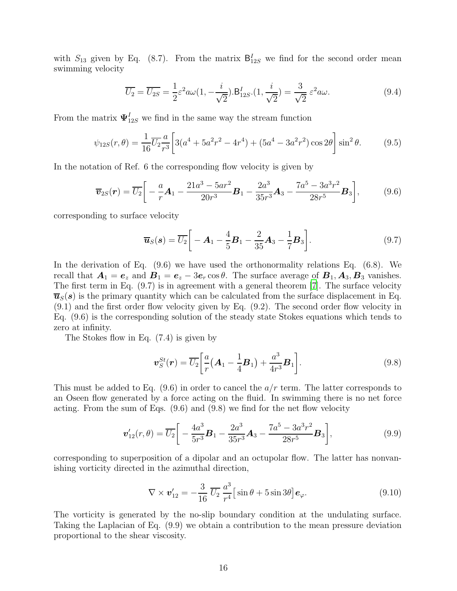with  $S_{13}$  given by Eq. (8.7). From the matrix  $B_{12S}^I$  we find for the second order mean swimming velocity

$$
\overline{U_2} = \overline{U_{2S}} = \frac{1}{2} \varepsilon^2 a\omega (1, -\frac{i}{\sqrt{2}}).B_{12S}^I.(1, \frac{i}{\sqrt{2}}) = \frac{3}{\sqrt{2}} \varepsilon^2 a\omega.
$$
\n(9.4)

From the matrix  $\Psi_{12S}^I$  we find in the same way the stream function

$$
\psi_{12S}(r,\theta) = \frac{1}{16}\overline{U_2}\frac{a}{r^3} \left[3(a^4 + 5a^2r^2 - 4r^4) + (5a^4 - 3a^2r^2)\cos 2\theta\right]\sin^2\theta. \tag{9.5}
$$

In the notation of Ref. 6 the corresponding flow velocity is given by

$$
\overline{\boldsymbol{v}}_{2S}(\boldsymbol{r}) = \overline{U_2} \bigg[ -\frac{a}{r} \boldsymbol{A}_1 - \frac{21a^3 - 5ar^2}{20r^3} \boldsymbol{B}_1 - \frac{2a^3}{35r^3} \boldsymbol{A}_3 - \frac{7a^5 - 3a^3r^2}{28r^5} \boldsymbol{B}_3 \bigg],\tag{9.6}
$$

corresponding to surface velocity

$$
\overline{\bm{u}}_S(\bm{s}) = \overline{U_2} \bigg[ -\bm{A}_1 - \frac{4}{5} \bm{B}_1 - \frac{2}{35} \bm{A}_3 - \frac{1}{7} \bm{B}_3 \bigg]. \tag{9.7}
$$

In the derivation of Eq. (9.6) we have used the orthonormality relations Eq. (6.8). We recall that  $A_1 = e_z$  and  $B_1 = e_z - 3e_r \cos \theta$ . The surface average of  $B_1, A_3, B_3$  vanishes. The first term in Eq. (9.7) is in agreement with a general theorem [\[7\]](#page-25-6). The surface velocity  $\overline{\mathbf{u}}_S(s)$  is the primary quantity which can be calculated from the surface displacement in Eq. (9.1) and the first order flow velocity given by Eq. (9.2). The second order flow velocity in Eq. (9.6) is the corresponding solution of the steady state Stokes equations which tends to zero at infinity.

The Stokes flow in Eq. (7.4) is given by

$$
\boldsymbol{v}_S^{St}(\boldsymbol{r}) = \overline{U_2} \bigg[ \frac{a}{r} \big( \boldsymbol{A}_1 - \frac{1}{4} \boldsymbol{B}_1 \big) + \frac{a^3}{4r^3} \boldsymbol{B}_1 \bigg]. \tag{9.8}
$$

This must be added to Eq.  $(9.6)$  in order to cancel the  $a/r$  term. The latter corresponds to an Oseen flow generated by a force acting on the fluid. In swimming there is no net force acting. From the sum of Eqs. (9.6) and (9.8) we find for the net flow velocity

$$
\boldsymbol{v}_{12}'(r,\theta) = \overline{U_2} \bigg[ -\frac{4a^3}{5r^3} \boldsymbol{B}_1 - \frac{2a^3}{35r^3} \boldsymbol{A}_3 - \frac{7a^5 - 3a^3r^2}{28r^5} \boldsymbol{B}_3 \bigg],\tag{9.9}
$$

corresponding to superposition of a dipolar and an octupolar flow. The latter has nonvanishing vorticity directed in the azimuthal direction,

$$
\nabla \times \boldsymbol{v}_{12}' = -\frac{3}{16} \overline{U_2} \frac{a^3}{r^4} \left[ \sin \theta + 5 \sin 3\theta \right] \boldsymbol{e}_{\varphi}.
$$
 (9.10)

The vorticity is generated by the no-slip boundary condition at the undulating surface. Taking the Laplacian of Eq. (9.9) we obtain a contribution to the mean pressure deviation proportional to the shear viscosity.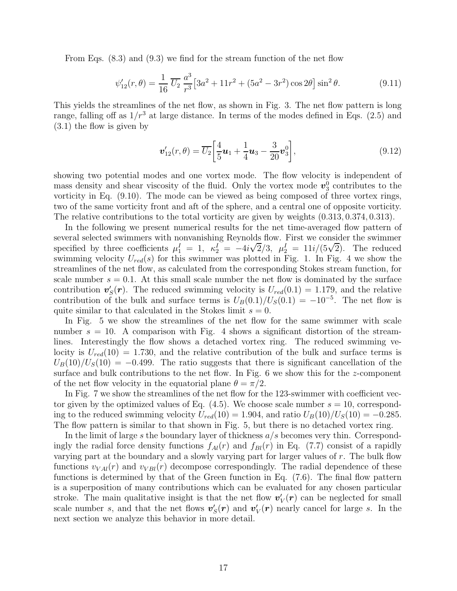From Eqs. (8.3) and (9.3) we find for the stream function of the net flow

$$
\psi'_{12}(r,\theta) = \frac{1}{16} \overline{U_2} \frac{a^3}{r^3} \left[ 3a^2 + 11r^2 + (5a^2 - 3r^2) \cos 2\theta \right] \sin^2 \theta.
$$
 (9.11)

This yields the streamlines of the net flow, as shown in Fig. 3. The net flow pattern is long range, falling off as  $1/r^3$  at large distance. In terms of the modes defined in Eqs. (2.5) and (3.1) the flow is given by

$$
\boldsymbol{v}_{12}'(r,\theta) = \overline{U_2} \bigg[ \frac{4}{5} \boldsymbol{u}_1 + \frac{1}{4} \boldsymbol{u}_3 - \frac{3}{20} \boldsymbol{v}_3^0 \bigg],\tag{9.12}
$$

showing two potential modes and one vortex mode. The flow velocity is independent of mass density and shear viscosity of the fluid. Only the vortex mode  $v_3^0$  contributes to the vorticity in Eq. (9.10). The mode can be viewed as being composed of three vortex rings, two of the same vorticity front and aft of the sphere, and a central one of opposite vorticity. The relative contributions to the total vorticity are given by weights (0.313, 0.374, 0.313).

In the following we present numerical results for the net time-averaged flow pattern of several selected swimmers with nonvanishing Reynolds flow. First we consider the swimmer specified by three coefficients  $\mu_1^I = 1$ ,  $\kappa_2^I = -4i\sqrt{2}/3$ ,  $\mu_2^I = 11i/(5\sqrt{2})$ . The reduced swimming velocity  $U_{red}(s)$  for this swimmer was plotted in Fig. 1. In Fig. 4 we show the streamlines of the net flow, as calculated from the corresponding Stokes stream function, for scale number  $s = 0.1$ . At this small scale number the net flow is dominated by the surface contribution  $\mathbf{v}'_S(\mathbf{r})$ . The reduced swimming velocity is  $U_{red}(0.1) = 1.179$ , and the relative contribution of the bulk and surface terms is  $U_B(0.1)/U_S(0.1) = -10^{-5}$ . The net flow is quite similar to that calculated in the Stokes limit  $s = 0$ .

In Fig. 5 we show the streamlines of the net flow for the same swimmer with scale number  $s = 10$ . A comparison with Fig. 4 shows a significant distortion of the streamlines. Interestingly the flow shows a detached vortex ring. The reduced swimming velocity is  $U_{red}(10) = 1.730$ , and the relative contribution of the bulk and surface terms is  $U_B(10)/U_S(10) = -0.499$ . The ratio suggests that there is significant cancellation of the surface and bulk contributions to the net flow. In Fig. 6 we show this for the z-component of the net flow velocity in the equatorial plane  $\theta = \pi/2$ .

In Fig. 7 we show the streamlines of the net flow for the 123-swimmer with coefficient vector given by the optimized values of Eq.  $(4.5)$ . We choose scale number  $s = 10$ , corresponding to the reduced swimming velocity  $U_{red}(10) = 1.904$ , and ratio  $U_B(10)/U_S(10) = -0.285$ . The flow pattern is similar to that shown in Fig. 5, but there is no detached vortex ring.

In the limit of large s the boundary layer of thickness  $a/s$  becomes very thin. Correspondingly the radial force density functions  $f_{Al}(r)$  and  $f_{Bl}(r)$  in Eq. (7.7) consist of a rapidly varying part at the boundary and a slowly varying part for larger values of  $r$ . The bulk flow functions  $v_{VAl}(r)$  and  $v_{VBl}(r)$  decompose correspondingly. The radial dependence of these functions is determined by that of the Green function in Eq. (7.6). The final flow pattern is a superposition of many contributions which can be evaluated for any chosen particular stroke. The main qualitative insight is that the net flow  $v'_V(r)$  can be neglected for small scale number s, and that the net flows  $v'_{S}(r)$  and  $v'_{V}(r)$  nearly cancel for large s. In the next section we analyze this behavior in more detail.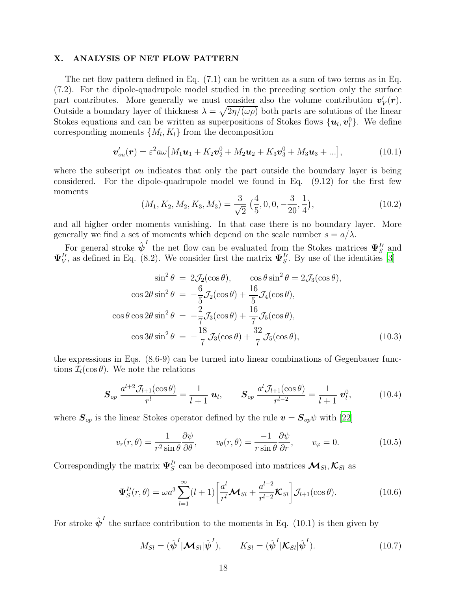### X. ANALYSIS OF NET FLOW PATTERN

The net flow pattern defined in Eq. (7.1) can be written as a sum of two terms as in Eq. (7.2). For the dipole-quadrupole model studied in the preceding section only the surface part contributes. More generally we must consider also the volume contribution  $v'_V(r)$ . Outside a boundary layer of thickness  $\lambda = \sqrt{2\eta/(\omega\rho)}$  both parts are solutions of the linear Stokes equations and can be written as superpositions of Stokes flows  $\{\boldsymbol{u}_l, \boldsymbol{v}_l^0\}$ . We define corresponding moments  $\{M_l, K_l\}$  from the decomposition

$$
\boldsymbol{v}'_{ou}(\boldsymbol{r}) = \varepsilon^2 a \omega \big[ M_1 \boldsymbol{u}_1 + K_2 \boldsymbol{v}_2^0 + M_2 \boldsymbol{u}_2 + K_3 \boldsymbol{v}_3^0 + M_3 \boldsymbol{u}_3 + \ldots \big], \tag{10.1}
$$

where the subscript *ou* indicates that only the part outside the boundary layer is being considered. For the dipole-quadrupole model we found in Eq. (9.12) for the first few moments

$$
(M_1, K_2, M_2, K_3, M_3) = \frac{3}{\sqrt{2}} \left(\frac{4}{5}, 0, 0, -\frac{3}{20}, \frac{1}{4}\right), \tag{10.2}
$$

and all higher order moments vanishing. In that case there is no boundary layer. More generally we find a set of moments which depend on the scale number  $s = a/\lambda$ .

For general stroke  $\hat{\psi}^I$  the net flow can be evaluated from the Stokes matrices  $\Psi_S^I$  and  $\Psi_V^{I\prime}$ , as defined in Eq. (8.2). We consider first the matrix  $\Psi_S^{I\prime}$ . By use of the identities [\[3](#page-25-2)]

$$
\sin^2 \theta = 2\mathcal{J}_2(\cos \theta), \qquad \cos \theta \sin^2 \theta = 2\mathcal{J}_3(\cos \theta),
$$

$$
\cos 2\theta \sin^2 \theta = -\frac{6}{5} \mathcal{J}_2(\cos \theta) + \frac{16}{5} \mathcal{J}_4(\cos \theta),
$$

$$
\cos \theta \cos 2\theta \sin^2 \theta = -\frac{2}{7} \mathcal{J}_3(\cos \theta) + \frac{16}{7} \mathcal{J}_5(\cos \theta),
$$

$$
\cos 3\theta \sin^2 \theta = -\frac{18}{7} \mathcal{J}_3(\cos \theta) + \frac{32}{7} \mathcal{J}_5(\cos \theta), \qquad (10.3)
$$

the expressions in Eqs. (8.6-9) can be turned into linear combinations of Gegenbauer functions  $\mathcal{I}_l(\cos \theta)$ . We note the relations

$$
\mathbf{S}_{op} \frac{a^{l+2} \mathcal{J}_{l+1}(\cos \theta)}{r^l} = \frac{1}{l+1} \mathbf{u}_l, \qquad \mathbf{S}_{op} \frac{a^l \mathcal{J}_{l+1}(\cos \theta)}{r^{l-2}} = \frac{1}{l+1} \mathbf{v}_l^0, \tag{10.4}
$$

where  $S_{op}$  is the linear Stokes operator defined by the rule  $v = S_{op}\psi$  with [\[22](#page-25-21)]

$$
v_r(r,\theta) = \frac{1}{r^2 \sin \theta} \frac{\partial \psi}{\partial \theta}, \qquad v_\theta(r,\theta) = \frac{-1}{r \sin \theta} \frac{\partial \psi}{\partial r}, \qquad v_\varphi = 0. \tag{10.5}
$$

Correspondingly the matrix  $\Psi_S^U$  can be decomposed into matrices  $\mathcal{M}_{Sl}$ ,  $\mathcal{K}_{Sl}$  as

$$
\Psi_S^{I\prime}(r,\theta) = \omega a^3 \sum_{l=1}^{\infty} (l+1) \left[ \frac{a^l}{r^l} \mathcal{M}_{Sl} + \frac{a^{l-2}}{r^{l-2}} \mathcal{K}_{Sl} \right] \mathcal{J}_{l+1}(\cos \theta). \tag{10.6}
$$

For stroke  $\hat{\psi}^I$  the surface contribution to the moments in Eq. (10.1) is then given by

$$
M_{Sl} = (\hat{\boldsymbol{\psi}}^I | \mathbf{\mathcal{M}}_{Sl} | \hat{\boldsymbol{\psi}}^I), \qquad K_{Sl} = (\hat{\boldsymbol{\psi}}^I | \mathbf{\mathcal{K}}_{Sl} | \hat{\boldsymbol{\psi}}^I).
$$
(10.7)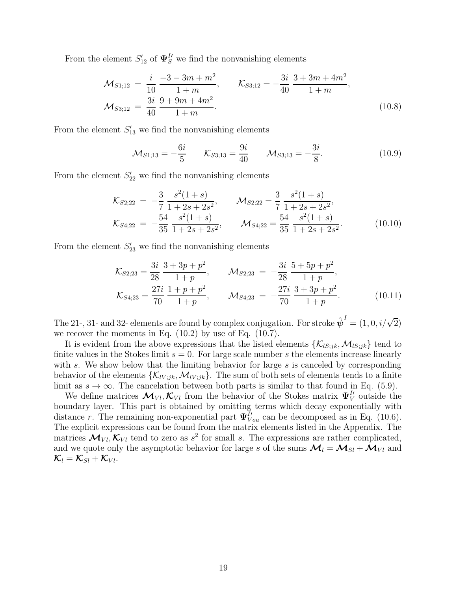From the element  $S'_{12}$  of  $\Psi_S^{\prime\prime}$  we find the nonvanishing elements

$$
\mathcal{M}_{S1;12} = \frac{i}{10} \frac{-3 - 3m + m^2}{1 + m}, \qquad \mathcal{K}_{S3;12} = -\frac{3i}{40} \frac{3 + 3m + 4m^2}{1 + m}, \n\mathcal{M}_{S3;12} = \frac{3i}{40} \frac{9 + 9m + 4m^2}{1 + m}.
$$
\n(10.8)

From the element  $S'_{13}$  we find the nonvanishing elements

$$
\mathcal{M}_{S1;13} = -\frac{6i}{5} \qquad \mathcal{K}_{S3;13} = \frac{9i}{40} \qquad \mathcal{M}_{S3;13} = -\frac{3i}{8}.\tag{10.9}
$$

From the element  $S'_{22}$  we find the nonvanishing elements

$$
\mathcal{K}_{S2;22} = -\frac{3}{7} \frac{s^2 (1+s)}{1+2s+2s^2}, \qquad \mathcal{M}_{S2;22} = \frac{3}{7} \frac{s^2 (1+s)}{1+2s+2s^2}, \n\mathcal{K}_{S4;22} = -\frac{54}{35} \frac{s^2 (1+s)}{1+2s+2s^2}, \qquad \mathcal{M}_{S4;22} = \frac{54}{35} \frac{s^2 (1+s)}{1+2s+2s^2}.
$$
\n(10.10)

From the element  $S'_{23}$  we find the nonvanishing elements

$$
\mathcal{K}_{S2;23} = \frac{3i}{28} \frac{3 + 3p + p^2}{1 + p}, \qquad \mathcal{M}_{S2;23} = -\frac{3i}{28} \frac{5 + 5p + p^2}{1 + p}, \n\mathcal{K}_{S4;23} = \frac{27i}{70} \frac{1 + p + p^2}{1 + p}, \qquad \mathcal{M}_{S4;23} = -\frac{27i}{70} \frac{3 + 3p + p^2}{1 + p}.
$$
\n(10.11)

The 21-, 31- and 32- elements are found by complex conjugation. For stroke  $\hat{\boldsymbol{\psi}}^I = (1, 0, i/\sqrt{2})$ we recover the moments in Eq.  $(10.2)$  by use of Eq.  $(10.7)$ .

It is evident from the above expressions that the listed elements  $\{\mathcal{K}_{lS;jk},\mathcal{M}_{lS;jk}\}\$  tend to finite values in the Stokes limit  $s = 0$ . For large scale number s the elements increase linearly with s. We show below that the limiting behavior for large s is canceled by corresponding behavior of the elements  $\{\mathcal{K}_{lV;jk},\mathcal{M}_{lV;jk}\}.$  The sum of both sets of elements tends to a finite limit as  $s \to \infty$ . The cancelation between both parts is similar to that found in Eq. (5.9).

We define matrices  $\mathcal{M}_{VI}, \mathcal{K}_{VI}$  from the behavior of the Stokes matrix  $\Psi_{V}^{I}$  outside the boundary layer. This part is obtained by omitting terms which decay exponentially with distance r. The remaining non-exponential part  $\Psi_{Vou}^{I'}$  can be decomposed as in Eq. (10.6). The explicit expressions can be found from the matrix elements listed in the Appendix. The matrices  $\mathcal{M}_{VI}, \mathcal{K}_{VI}$  tend to zero as  $s^2$  for small s. The expressions are rather complicated, and we quote only the asymptotic behavior for large s of the sums  $\mathcal{M}_l = \mathcal{M}_{Sl} + \mathcal{M}_{VI}$  and  $\mathcal{K}_l = \mathcal{K}_{Sl} + \mathcal{K}_{Vl}.$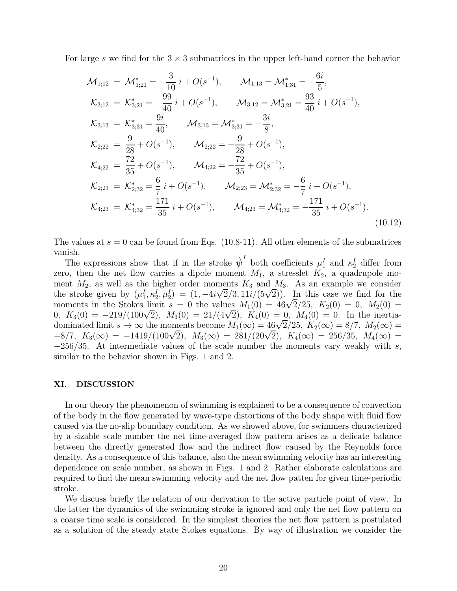For large s we find for the  $3 \times 3$  submatrices in the upper left-hand corner the behavior

$$
\mathcal{M}_{1;12} = \mathcal{M}_{1;21}^* = -\frac{3}{10} i + O(s^{-1}), \qquad \mathcal{M}_{1;13} = \mathcal{M}_{1;31}^* = -\frac{6i}{5},
$$
\n
$$
\mathcal{K}_{3;12} = \mathcal{K}_{3;21}^* = -\frac{99}{40} i + O(s^{-1}), \qquad \mathcal{M}_{3;12} = \mathcal{M}_{3;21}^* = \frac{93}{40} i + O(s^{-1}),
$$
\n
$$
\mathcal{K}_{3;13} = \mathcal{K}_{3;31}^* = \frac{9i}{40}, \qquad \mathcal{M}_{3;13} = \mathcal{M}_{3;31}^* = -\frac{3i}{8},
$$
\n
$$
\mathcal{K}_{2;22} = \frac{9}{28} + O(s^{-1}), \qquad \mathcal{M}_{2;22} = -\frac{9}{28} + O(s^{-1}),
$$
\n
$$
\mathcal{K}_{4;22} = \frac{72}{35} + O(s^{-1}), \qquad \mathcal{M}_{4;22} = -\frac{72}{35} + O(s^{-1}),
$$
\n
$$
\mathcal{K}_{2;23} = \mathcal{K}_{2;32}^* = \frac{6}{7} i + O(s^{-1}), \qquad \mathcal{M}_{2;23} = \mathcal{M}_{2;32}^* = -\frac{6}{7} i + O(s^{-1}),
$$
\n
$$
\mathcal{K}_{4;23} = \mathcal{K}_{4;32}^* = \frac{171}{35} i + O(s^{-1}), \qquad \mathcal{M}_{4;23} = \mathcal{M}_{4;32}^* = -\frac{171}{35} i + O(s^{-1}).
$$
\n(10.12)

The values at  $s = 0$  can be found from Eqs. (10.8-11). All other elements of the submatrices vanish.

The expressions show that if in the stroke  $\hat{\psi}^I$  both coefficients  $\mu_1^I$  and  $\kappa_2^I$  differ from zero, then the net flow carries a dipole moment  $M_1$ , a stresslet  $K_2$ , a quadrupole moment  $M_2$ , as well as the higher order moments  $K_3$  and  $M_3$ . As an example we consider the stroke given by  $(\mu_1^I, \kappa_2^I, \mu_2^I) = (1, -4i\sqrt{2}/3, 11i/(5\sqrt{2}))$ . In this case we find for the moments in the Stokes limit  $s = 0$  the values  $M_1(0) = 46\sqrt{2}/25$ ,  $K_2(0) = 0$ ,  $M_2(0) =$  $K_3(0) = -219/(100\sqrt{2}), \ M_3(0) = 21/(4\sqrt{2}), \ K_4(0) = 0, \ M_4(0) = 0.$  In the inertiadominated limit  $s \to \infty$  the moments become  $M_1(\infty) = 46\sqrt{2}/25$ ,  $K_2(\infty) = 8/7$ ,  $M_2(\infty) =$  $-8/7$ ,  $K_3(\infty) = -1419/(100\sqrt{2})$ ,  $M_3(\infty) = 281/(20\sqrt{2})$ ,  $K_4(\infty) = 256/35$ ,  $M_4(\infty) =$  $-256/35$ . At intermediate values of the scale number the moments vary weakly with s, similar to the behavior shown in Figs. 1 and 2.

#### XI. DISCUSSION

In our theory the phenomenon of swimming is explained to be a consequence of convection of the body in the flow generated by wave-type distortions of the body shape with fluid flow caused via the no-slip boundary condition. As we showed above, for swimmers characterized by a sizable scale number the net time-averaged flow pattern arises as a delicate balance between the directly generated flow and the indirect flow caused by the Reynolds force density. As a consequence of this balance, also the mean swimming velocity has an interesting dependence on scale number, as shown in Figs. 1 and 2. Rather elaborate calculations are required to find the mean swimming velocity and the net flow patten for given time-periodic stroke.

We discuss briefly the relation of our derivation to the active particle point of view. In the latter the dynamics of the swimming stroke is ignored and only the net flow pattern on a coarse time scale is considered. In the simplest theories the net flow pattern is postulated as a solution of the steady state Stokes equations. By way of illustration we consider the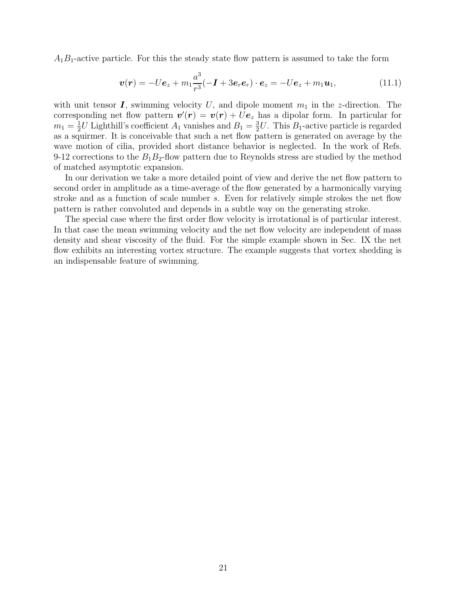$A_1B_1$ -active particle. For this the steady state flow pattern is assumed to take the form

$$
\boldsymbol{v}(\boldsymbol{r}) = -U\boldsymbol{e}_z + m_1 \frac{a^3}{r^3} (-\boldsymbol{I} + 3\boldsymbol{e}_r \boldsymbol{e}_r) \cdot \boldsymbol{e}_z = -U\boldsymbol{e}_z + m_1 \boldsymbol{u}_1, \qquad (11.1)
$$

with unit tensor  $\bm{I}$ , swimming velocity U, and dipole moment  $m_1$  in the z-direction. The corresponding net flow pattern  $\mathbf{v}'(\mathbf{r}) = \mathbf{v}(\mathbf{r}) + U\mathbf{e}_z$  has a dipolar form. In particular for  $m_1 = \frac{1}{2}$  $\frac{1}{2}U$  Lighthill's coefficient  $A_1$  vanishes and  $B_1 = \frac{3}{2}$  $\frac{3}{2}U$ . This  $B_1$ -active particle is regarded as a squirmer. It is conceivable that such a net flow pattern is generated on average by the wave motion of cilia, provided short distance behavior is neglected. In the work of Refs. 9-12 corrections to the  $B_1B_2$ -flow pattern due to Reynolds stress are studied by the method of matched asymptotic expansion.

In our derivation we take a more detailed point of view and derive the net flow pattern to second order in amplitude as a time-average of the flow generated by a harmonically varying stroke and as a function of scale number s. Even for relatively simple strokes the net flow pattern is rather convoluted and depends in a subtle way on the generating stroke.

The special case where the first order flow velocity is irrotational is of particular interest. In that case the mean swimming velocity and the net flow velocity are independent of mass density and shear viscosity of the fluid. For the simple example shown in Sec. IX the net flow exhibits an interesting vortex structure. The example suggests that vortex shedding is an indispensable feature of swimming.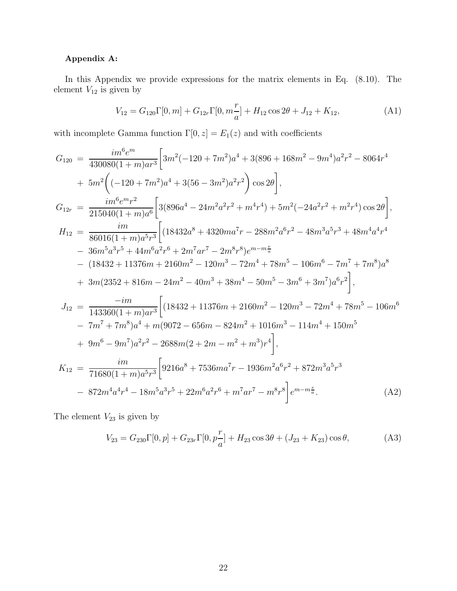## Appendix A:

In this Appendix we provide expressions for the matrix elements in Eq. (8.10). The element  $V_{12}$  is given by

$$
V_{12} = G_{120} \Gamma[0, m] + G_{12r} \Gamma[0, m_{\overline{a}}^T] + H_{12} \cos 2\theta + J_{12} + K_{12},
$$
 (A1)

with incomplete Gamma function  $\Gamma[0, z] = E_1(z)$  and with coefficients

$$
G_{120} = \frac{im^{6}e^{m}}{430080(1+m)ar^{3}} \Big[ 3m^{2}(-120+7m^{2})a^{4} + 3(896+168m^{2}-9m^{4})a^{2}r^{2} - 8064r^{4} + 5m^{2} \Big( (-120+7m^{2})a^{4} + 3(56-3m^{2})a^{2}r^{2} \Big) \cos 2\theta \Big],
$$
  

$$
G_{12r} = \frac{im^{6}e^{m}r^{2}}{215040(1+m)a^{6}} \Big[ 3(896a^{4}-24m^{2}a^{2}r^{2}+m^{4}r^{4}) + 5m^{2}(-24a^{2}r^{2}+m^{2}r^{4})\cos 2\theta \Big],
$$
  

$$
H_{12} = \frac{im}{86016(1+m)a^{5}r^{3}} \Big[ (18432a^{8}+4320ma^{7}r-288m^{2}a^{6}r^{2}-48m^{3}a^{5}r^{3}+48m^{4}a^{4}r^{4} - 36m^{5}a^{3}r^{5}+44m^{6}a^{2}r^{6}+2m^{7}ar^{7}-2m^{8}r^{8})e^{m-m\frac{r}{a}}
$$
  
- (18432+11376m+2160m^{2}-120m^{3}-72m^{4}+78m^{5}-106m^{6}-7m^{7}+7m^{8})a^{8}   
+ 3m(2352+816m-24m^{2}-40m^{3}+38m^{4}-50m^{5}-3m^{6}+3m^{7})a^{6}r^{2} \Big],  

$$
J_{12} = \frac{-im}{143360(1+m)ar^{3}} \Big[ (18432+11376m+2160m^{2}-120m^{3}-72m^{4}+78m^{5}-106m^{6} - 7m^{7}+7m^{8})a^{4}+m(9072-656m-824m^{2}+1016m^{3}-114m^{4}+150m^{5} + 9m^{6}-9m^{7})a^{2}r^{2}-2688m(2+2m-m^{2}+m^{3})r^{4}
$$

The element  $V_{23}$  is given by

$$
V_{23} = G_{230} \Gamma[0, p] + G_{23r} \Gamma[0, p\frac{r}{a}] + H_{23} \cos 3\theta + (J_{23} + K_{23}) \cos \theta,
$$
 (A3)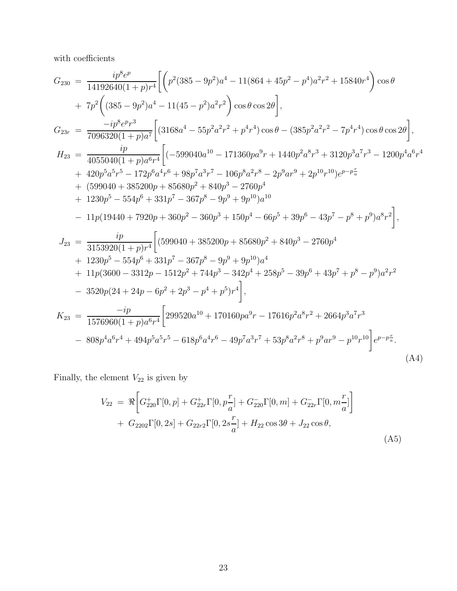with coefficients  $% \left\vert \cdot \right\rangle$ 

$$
G_{230} = \frac{ip^8 e^p}{14192640(1+p)r^4} \Biggl[ \left( p^2(385 - 9p^2)a^4 - 11(864 + 45p^2 - p^4)a^2r^2 + 15840r^4 \right) \cos \theta + 7p^2 \Biggl( (385 - 9p^2)a^4 - 11(45 - p^2)a^2r^2 \Biggr) \cos \theta \cos 2\theta \Biggr],
$$
  
\n
$$
G_{23r} = \frac{-ip^8 e^p r^3}{7096320(1+p)a^7} \Biggl[ (3168a^4 - 55p^2a^2r^2 + p^4r^4) \cos \theta - (385p^2a^2r^2 - 7p^4r^4) \cos \theta \cos 2\theta \Biggr],
$$
  
\n
$$
H_{23} = \frac{ip}{4055040(1+p)a^6r^4} \Biggl[ (-599040a^{10} - 171360pa^9r + 1440p^2a^8r^3 + 3120p^3a^7r^3 - 1200p^4a^6r^4 + 420p^5a^5r^5 - 172p^6a^4r^6 + 98p^7a^3r^7 - 106p^8a^2r^8 - 2p^9ar^9 + 2p^{10}r^{10})e^{p-p\frac{r}{a}} + (599040 + 385200p + 85680p^2 + 840p^3 - 2760p^4 + 1230p^5 - 554p^6 + 331p^7 - 367p^8 - 9p^9 + 9p^{10})a^{10} - 11p(19440 + 7920p + 360p^2 - 360p^3 + 150p^4 - 66p^5 + 39p^6 - 43p^7 - p^8 + p^9)a^8r^2 \Biggr],
$$
  
\n
$$
J_{23} = \frac{ip}{3153920(1+p)r^4} \Biggl[ (599040 + 385200p + 85680p^2 + 840p^3 - 2760p^4 + 1230p^5
$$

Finally, the element  ${\cal V}_{22}$  is given by

$$
V_{22} = \Re\left[G_{220}^{+}\Gamma[0,p] + G_{22r}^{+}\Gamma[0,p_{a}^{+}] + G_{220}^{-}\Gamma[0,m] + G_{22r}^{-}\Gamma[0,m_{a}^{+}] \right] + G_{2202}\Gamma[0,2s] + G_{22r2}\Gamma[0,2s_{a}^{+}] + H_{22}\cos 3\theta + J_{22}\cos \theta,
$$
\n(A5)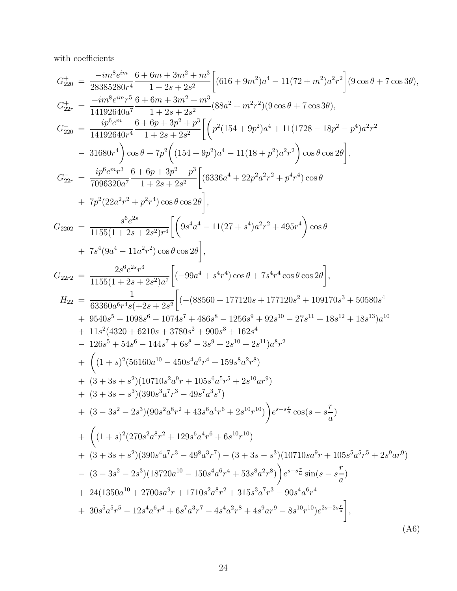with coefficients

$$
G_{209}^{+} = \frac{-im^{5}e^{im}}{28385280r^{4}} - \frac{1+2s+2s^{2}}{1+2s+2s^{2}} \Biggl[ (616+9m^{2})a^{4}-11(72+m^{2})a^{2}r^{2} \Biggr] (9\cos\theta+7\cos3\theta),
$$
  
\n
$$
G_{20r}^{+} = \frac{-im^{5}e^{im}r^{5}}{14192640a^{7}} - \frac{6+6m+3m^{2}+m^{3}}{1+2s+2s^{2}} (88a^{2}+m^{2}r^{2})(9\cos\theta+7\cos3\theta),
$$
  
\n
$$
G_{220}^{-} = \frac{ip^{6}e^{m}}{14192640r^{4}} - \frac{6+6p+3p^{2}+p^{3}}{1+2s+2s^{2}} \Biggl[ \Biggl( p^{2}(154+9p^{2})a^{4}+11(1728-18p^{2}-p^{4})a^{2}r^{2} - 31680r^{4} \Biggr) \cos\theta + 7p^{2} \Biggl( (154+9p^{2})a^{4}-11(18+p^{2})a^{2}r^{2} \Biggr) \cos\theta \cos2\theta \Biggr],
$$
  
\n
$$
G_{22r}^{-} = \frac{ip^{6}e^{m}r^{3}}{7096320a^{7}} - \frac{6+6p+3p^{2}+p^{3}}{1+2s+2s^{2}} \Biggl[ (6336a^{4}+22p^{2}a^{2}r^{2}+p^{4}r^{4})\cos\theta + p^{7}(22a^{2}r^{2}+p^{2}r^{4})\cos\theta + p^{7}(22a^{2}r^{2}+p^{2}r^{4})\cos\theta - 11(8+2s+2s^{2})r^{4} \Biggl[ (9s^{4}a^{4}-11(27+s^{4})a^{2}r^{2}+495r^{4})\cos\theta + 7s^{4}(9a^{4}-11a^{2}r^{2})\cos\theta \cos2\theta \Biggr],
$$
  
\n
$$
G_{22r2}^{-} = \frac{2s^{6}e^{2s}r^{3}}{1155(1+2s+2s^{2})a^{7}} \Big
$$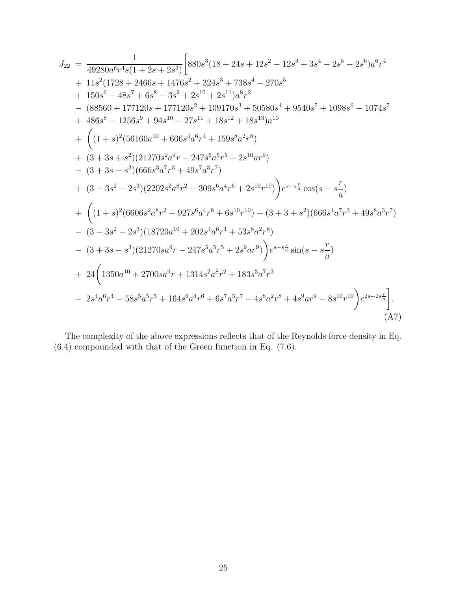$$
J_{22} = \frac{1}{49280a^{6}r^{4}s(1+2s+2s^{2})}\Big[880s^{3}(18+24s+12s^{2}-12s^{3}+3s^{4}-2s^{5}-2s^{6})a^{6}r^{4}+11s^{2}(1728+2466s+1476s^{2}+324s^{3}+738s^{4}-270s^{5}+150s^{6}-48s^{7}+6s^{8}-3s^{9}+2s^{10}+2s^{11})a^{8}r^{2}-(88560+177120s+177120s^{2}+109170s^{3}+50580s^{4}+9540s^{5}+1098s^{6}-1074s^{7}+486s^{8}-1256s^{9}+94s^{10}-27s^{11}+18s^{12}+18s^{13})a^{10}+((1+s)^{2}(56160a^{10}+606s^{4}a^{6}r^{4}+159s^{8}a^{2}r^{8})+(3+3s+s^{2})(21270s^{2}a^{9}r-247s^{6}a^{5}r^{5}+2s^{10}ar^{9})-(3+3s-s^{3})(666s^{3}a^{7}r^{3}+49s^{7}a^{3}r^{7})+ (3-3s^{2}-2s^{3})(2202s^{2}a^{8}r^{2}-309s^{6}a^{4}r^{6}+2s^{10}r^{10})\Big)e^{s-s\frac{r}{a}}cos(s-s\frac{r}{a})+((1+s)^{2}(6606s^{2}a^{8}r^{2}-927s^{6}a^{4}r^{6}+6s^{10}r^{10})-(3+3+s^{2})(666s^{4}a^{7}r^{3}+49s^{8}a^{3}r^{7})-(3-3s^{2}-2s^{3})(18720a^{10}+202s^{4}a^{6}r^{4}+53s^{8}a^{2}r^{8})-(3+3s-s^{3})(21270s a^{9}r-247s^{5}a^{5}r^{5}+2s^{9}ar^{9})\Big)e^{s-s\frac{r}{a}}sin(s-s\frac{r}{
$$

The complexity of the above expressions reflects that of the Reynolds force density in Eq.  $(6.4)$  compounded with that of the Green function in Eq.  $(7.6)$ .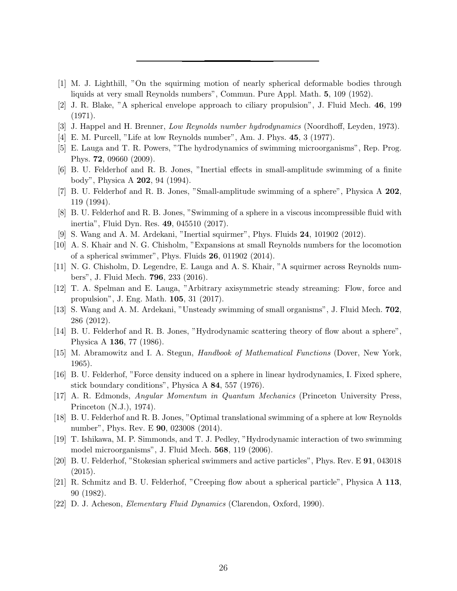- <span id="page-25-0"></span>[1] M. J. Lighthill, "On the squirming motion of nearly spherical deformable bodies through liquids at very small Reynolds numbers", Commun. Pure Appl. Math. 5, 109 (1952).
- <span id="page-25-1"></span>[2] J. R. Blake, "A spherical envelope approach to ciliary propulsion", J. Fluid Mech. 46, 199 (1971).
- <span id="page-25-2"></span>[3] J. Happel and H. Brenner, Low Reynolds number hydrodynamics (Noordhoff, Leyden, 1973).
- <span id="page-25-3"></span>[4] E. M. Purcell, "Life at low Reynolds number", Am. J. Phys. 45, 3 (1977).
- <span id="page-25-4"></span>[5] E. Lauga and T. R. Powers, "The hydrodynamics of swimming microorganisms", Rep. Prog. Phys. 72, 09660 (2009).
- <span id="page-25-5"></span>[6] B. U. Felderhof and R. B. Jones, "Inertial effects in small-amplitude swimming of a finite body", Physica A 202, 94 (1994).
- <span id="page-25-6"></span>[7] B. U. Felderhof and R. B. Jones, "Small-amplitude swimming of a sphere", Physica A 202, 119 (1994).
- <span id="page-25-7"></span>[8] B. U. Felderhof and R. B. Jones, "Swimming of a sphere in a viscous incompressible fluid with inertia", Fluid Dyn. Res. 49, 045510 (2017).
- <span id="page-25-8"></span>[9] S. Wang and A. M. Ardekani, "Inertial squirmer", Phys. Fluids 24, 101902 (2012).
- <span id="page-25-9"></span>[10] A. S. Khair and N. G. Chisholm, "Expansions at small Reynolds numbers for the locomotion of a spherical swimmer", Phys. Fluids 26, 011902 (2014).
- <span id="page-25-10"></span>[11] N. G. Chisholm, D. Legendre, E. Lauga and A. S. Khair, "A squirmer across Reynolds numbers", J. Fluid Mech. 796, 233 (2016).
- <span id="page-25-11"></span>[12] T. A. Spelman and E. Lauga, "Arbitrary axisymmetric steady streaming: Flow, force and propulsion", J. Eng. Math. 105, 31 (2017).
- <span id="page-25-12"></span>[13] S. Wang and A. M. Ardekani, "Unsteady swimming of small organisms", J. Fluid Mech. 702, 286 (2012).
- <span id="page-25-13"></span>[14] B. U. Felderhof and R. B. Jones, "Hydrodynamic scattering theory of flow about a sphere", Physica A 136, 77 (1986).
- <span id="page-25-14"></span>[15] M. Abramowitz and I. A. Stegun, Handbook of Mathematical Functions (Dover, New York, 1965).
- <span id="page-25-15"></span>[16] B. U. Felderhof, "Force density induced on a sphere in linear hydrodynamics, I. Fixed sphere, stick boundary conditions", Physica A 84, 557 (1976).
- <span id="page-25-16"></span>[17] A. R. Edmonds, Angular Momentum in Quantum Mechanics (Princeton University Press, Princeton (N.J.), 1974).
- <span id="page-25-17"></span>[18] B. U. Felderhof and R. B. Jones, "Optimal translational swimming of a sphere at low Reynolds number", Phys. Rev. E 90, 023008 (2014).
- <span id="page-25-18"></span>[19] T. Ishikawa, M. P. Simmonds, and T. J. Pedley, "Hydrodynamic interaction of two swimming model microorganisms", J. Fluid Mech. 568, 119 (2006).
- <span id="page-25-19"></span>[20] B. U. Felderhof, "Stokesian spherical swimmers and active particles", Phys. Rev. E 91, 043018 (2015).
- <span id="page-25-20"></span>[21] R. Schmitz and B. U. Felderhof, "Creeping flow about a spherical particle", Physica A 113, 90 (1982).
- <span id="page-25-21"></span>[22] D. J. Acheson, Elementary Fluid Dynamics (Clarendon, Oxford, 1990).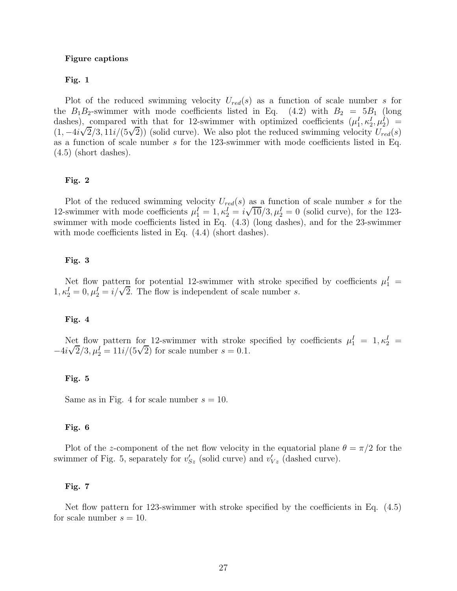#### Figure captions

### Fig. 1

Plot of the reduced swimming velocity  $U_{red}(s)$  as a function of scale number s for the  $B_1B_2$ -swimmer with mode coefficients listed in Eq. (4.2) with  $B_2 = 5B_1$  (long dashes), compared with that for 12-swimmer with optimized coefficients  $(\mu_1^I, \kappa_2^I, \mu_2^I)$  = (1,  $-4i\sqrt{2}/3$ ,  $11i/(5\sqrt{2})$ ) (solid curve). We also plot the reduced swimming velocity  $U_{red}(s)$ as a function of scale number s for the 123-swimmer with mode coefficients listed in Eq.  $(4.5)$  (short dashes).

### Fig. 2

Plot of the reduced swimming velocity  $U_{red}(s)$  as a function of scale number s for the 12-swimmer with mode coefficients  $\mu_1^I = 1, \kappa_2^I = i\sqrt{10}/3, \mu_2^I = 0$  (solid curve), for the 123swimmer with mode coefficients listed in Eq. (4.3) (long dashes), and for the 23-swimmer with mode coefficients listed in Eq.  $(4.4)$  (short dashes).

### Fig. 3

Net flow pattern for potential 12-swimmer with stroke specified by coefficients  $\mu_1^I$  =  $1, \kappa_2^I = 0, \mu_2^I = i/\sqrt{2}$ . The flow is independent of scale number s.

### Fig. 4

Net flow pattern for 12-swimmer with stroke specified by coefficients  $\mu_1^I = 1, \kappa_2^I =$  $-4i\sqrt{2}/3, \mu_2^I = 11i/(5\sqrt{2})$  for scale number  $s = 0.1$ .

### Fig. 5

Same as in Fig. 4 for scale number  $s = 10$ .

#### Fig. 6

Plot of the z-component of the net flow velocity in the equatorial plane  $\theta = \pi/2$  for the swimmer of Fig. 5, separately for  $v_{Sz}$  (solid curve) and  $v_{Vz}$  (dashed curve).

#### Fig. 7

Net flow pattern for 123-swimmer with stroke specified by the coefficients in Eq. (4.5) for scale number  $s = 10$ .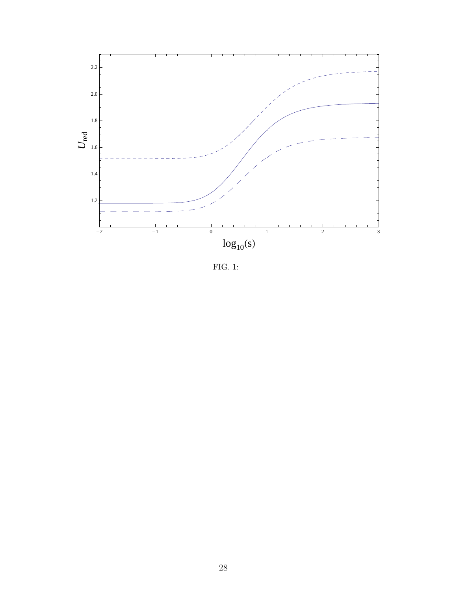

FIG. 1: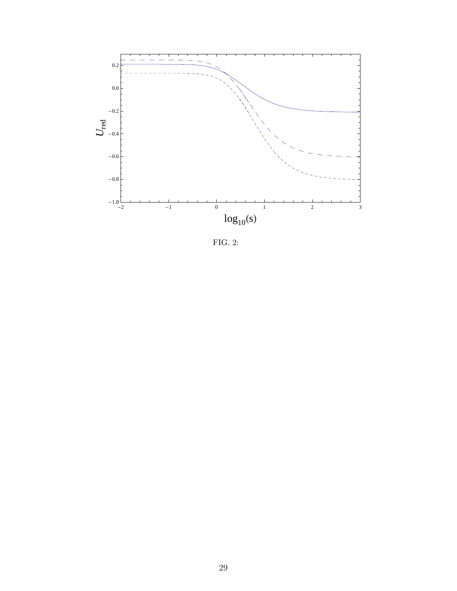

FIG. 2: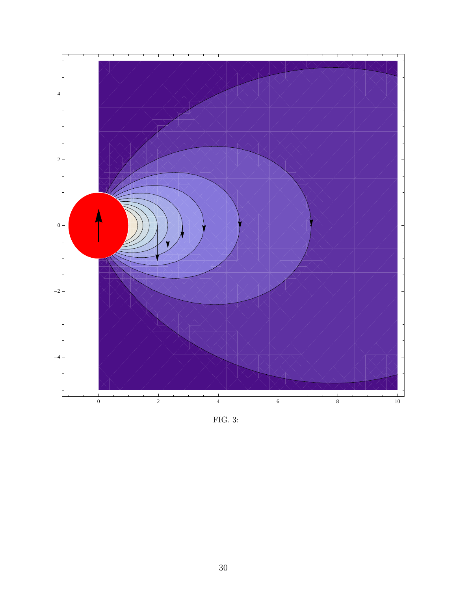

FIG. 3: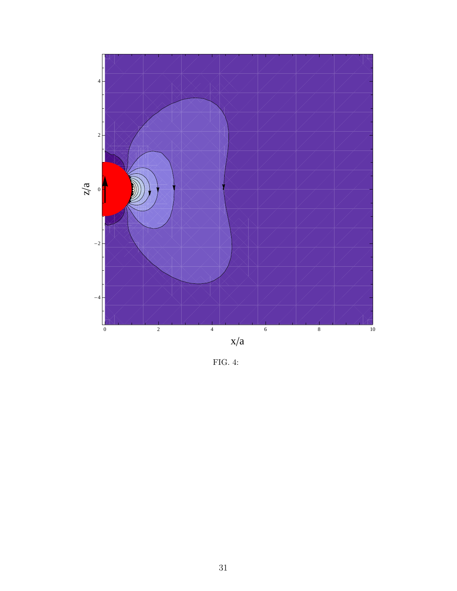

FIG. 4: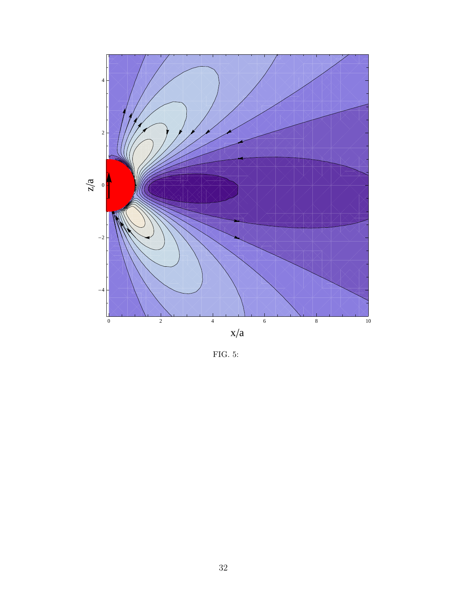

FIG. 5: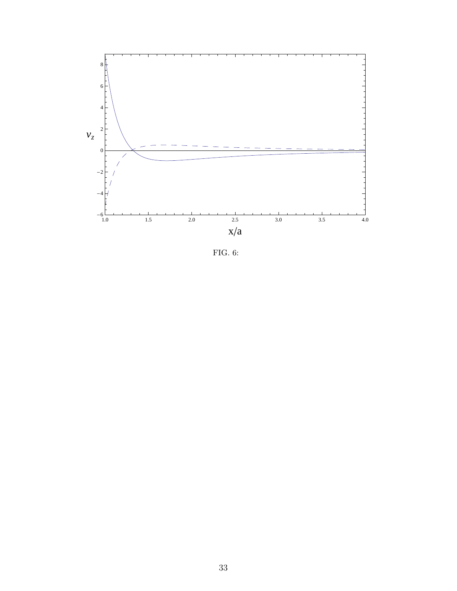

FIG. 6: